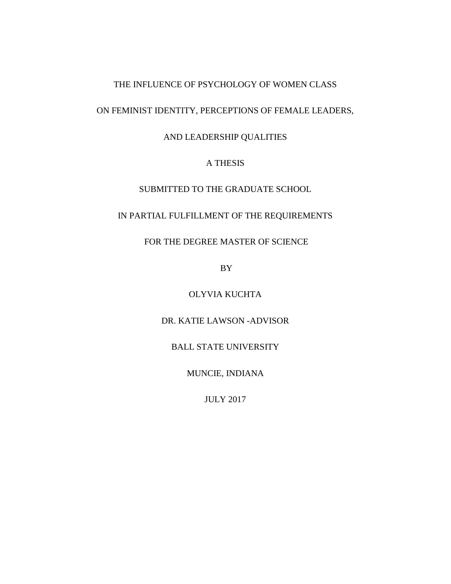## THE INFLUENCE OF PSYCHOLOGY OF WOMEN CLASS

# ON FEMINIST IDENTITY, PERCEPTIONS OF FEMALE LEADERS,

## AND LEADERSHIP QUALITIES

## A THESIS

## SUBMITTED TO THE GRADUATE SCHOOL

## IN PARTIAL FULFILLMENT OF THE REQUIREMENTS

## FOR THE DEGREE MASTER OF SCIENCE

BY

## OLYVIA KUCHTA

## DR. KATIE LAWSON -ADVISOR

## BALL STATE UNIVERSITY

## MUNCIE, INDIANA

## JULY 2017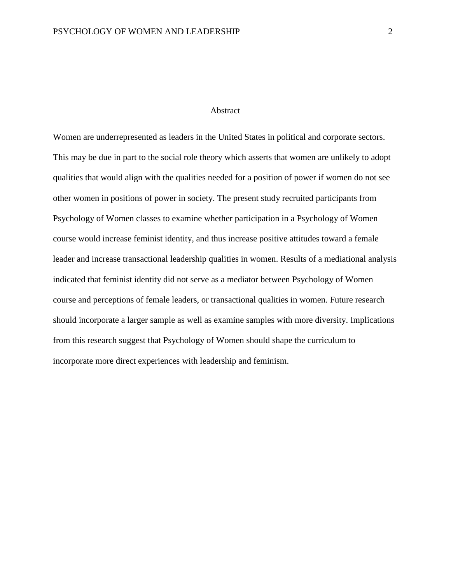### Abstract

Women are underrepresented as leaders in the United States in political and corporate sectors. This may be due in part to the social role theory which asserts that women are unlikely to adopt qualities that would align with the qualities needed for a position of power if women do not see other women in positions of power in society. The present study recruited participants from Psychology of Women classes to examine whether participation in a Psychology of Women course would increase feminist identity, and thus increase positive attitudes toward a female leader and increase transactional leadership qualities in women. Results of a mediational analysis indicated that feminist identity did not serve as a mediator between Psychology of Women course and perceptions of female leaders, or transactional qualities in women. Future research should incorporate a larger sample as well as examine samples with more diversity. Implications from this research suggest that Psychology of Women should shape the curriculum to incorporate more direct experiences with leadership and feminism.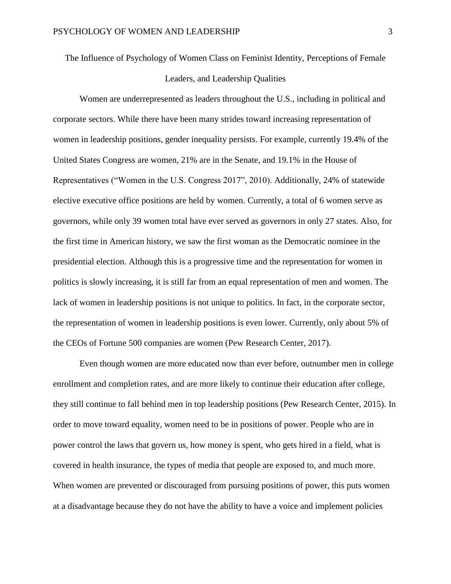The Influence of Psychology of Women Class on Feminist Identity, Perceptions of Female Leaders, and Leadership Qualities

Women are underrepresented as leaders throughout the U.S., including in political and corporate sectors. While there have been many strides toward increasing representation of women in leadership positions, gender inequality persists. For example, currently 19.4% of the United States Congress are women, 21% are in the Senate, and 19.1% in the House of Representatives ("Women in the U.S. Congress 2017", 2010). Additionally, 24% of statewide elective executive office positions are held by women. Currently, a total of 6 women serve as governors, while only 39 women total have ever served as governors in only 27 states. Also, for the first time in American history, we saw the first woman as the Democratic nominee in the presidential election. Although this is a progressive time and the representation for women in politics is slowly increasing, it is still far from an equal representation of men and women. The lack of women in leadership positions is not unique to politics. In fact, in the corporate sector, the representation of women in leadership positions is even lower. Currently, only about 5% of the CEOs of Fortune 500 companies are women (Pew Research Center, 2017).

Even though women are more educated now than ever before, outnumber men in college enrollment and completion rates, and are more likely to continue their education after college, they still continue to fall behind men in top leadership positions (Pew Research Center, 2015). In order to move toward equality, women need to be in positions of power. People who are in power control the laws that govern us, how money is spent, who gets hired in a field, what is covered in health insurance, the types of media that people are exposed to, and much more. When women are prevented or discouraged from pursuing positions of power, this puts women at a disadvantage because they do not have the ability to have a voice and implement policies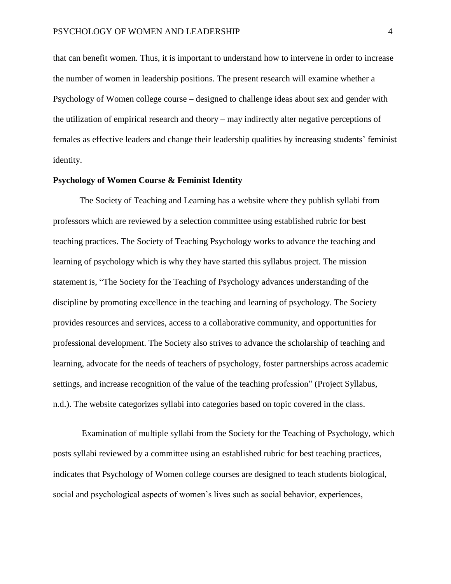that can benefit women. Thus, it is important to understand how to intervene in order to increase the number of women in leadership positions. The present research will examine whether a Psychology of Women college course – designed to challenge ideas about sex and gender with the utilization of empirical research and theory – may indirectly alter negative perceptions of females as effective leaders and change their leadership qualities by increasing students' feminist identity.

## **Psychology of Women Course & Feminist Identity**

The Society of Teaching and Learning has a website where they publish syllabi from professors which are reviewed by a selection committee using established rubric for best teaching practices. The Society of Teaching Psychology works to advance the teaching and learning of psychology which is why they have started this syllabus project. The mission statement is, "The Society for the Teaching of Psychology advances understanding of the discipline by promoting excellence in the teaching and learning of psychology. The Society provides resources and services, access to a collaborative community, and opportunities for professional development. The Society also strives to advance the scholarship of teaching and learning, advocate for the needs of teachers of psychology, foster partnerships across academic settings, and increase recognition of the value of the teaching profession" (Project Syllabus, n.d.). The website categorizes syllabi into categories based on topic covered in the class.

Examination of multiple syllabi from the Society for the Teaching of Psychology, which posts syllabi reviewed by a committee using an established rubric for best teaching practices, indicates that Psychology of Women college courses are designed to teach students biological, social and psychological aspects of women's lives such as social behavior, experiences,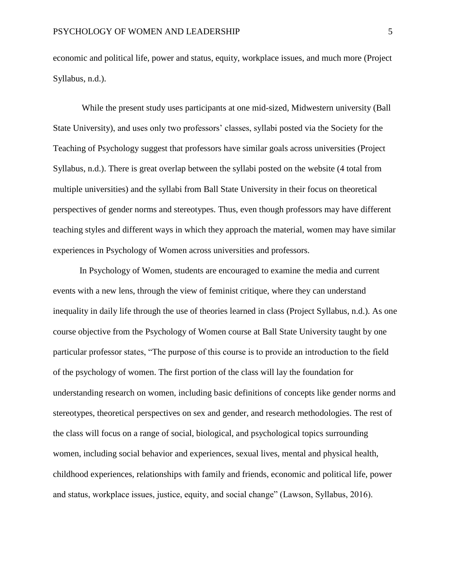economic and political life, power and status, equity, workplace issues, and much more (Project Syllabus, n.d.).

While the present study uses participants at one mid-sized, Midwestern university (Ball State University), and uses only two professors' classes, syllabi posted via the Society for the Teaching of Psychology suggest that professors have similar goals across universities (Project Syllabus, n.d.). There is great overlap between the syllabi posted on the website (4 total from multiple universities) and the syllabi from Ball State University in their focus on theoretical perspectives of gender norms and stereotypes. Thus, even though professors may have different teaching styles and different ways in which they approach the material, women may have similar experiences in Psychology of Women across universities and professors.

In Psychology of Women, students are encouraged to examine the media and current events with a new lens, through the view of feminist critique, where they can understand inequality in daily life through the use of theories learned in class (Project Syllabus, n.d.). As one course objective from the Psychology of Women course at Ball State University taught by one particular professor states, "The purpose of this course is to provide an introduction to the field of the psychology of women. The first portion of the class will lay the foundation for understanding research on women, including basic definitions of concepts like gender norms and stereotypes, theoretical perspectives on sex and gender, and research methodologies. The rest of the class will focus on a range of social, biological, and psychological topics surrounding women, including social behavior and experiences, sexual lives, mental and physical health, childhood experiences, relationships with family and friends, economic and political life, power and status, workplace issues, justice, equity, and social change" (Lawson, Syllabus, 2016).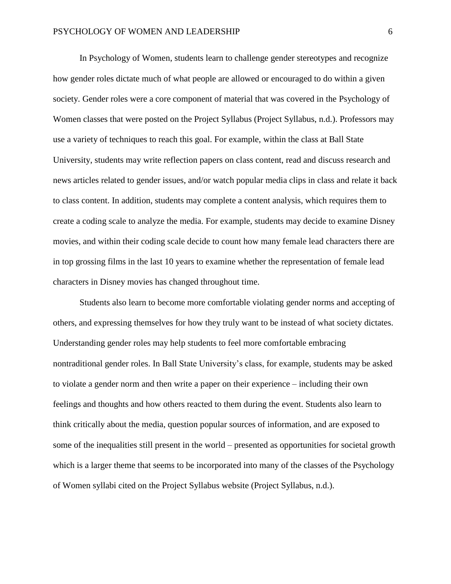In Psychology of Women, students learn to challenge gender stereotypes and recognize how gender roles dictate much of what people are allowed or encouraged to do within a given society. Gender roles were a core component of material that was covered in the Psychology of Women classes that were posted on the Project Syllabus (Project Syllabus, n.d.). Professors may use a variety of techniques to reach this goal. For example, within the class at Ball State University, students may write reflection papers on class content, read and discuss research and news articles related to gender issues, and/or watch popular media clips in class and relate it back to class content. In addition, students may complete a content analysis, which requires them to create a coding scale to analyze the media. For example, students may decide to examine Disney movies, and within their coding scale decide to count how many female lead characters there are in top grossing films in the last 10 years to examine whether the representation of female lead characters in Disney movies has changed throughout time.

Students also learn to become more comfortable violating gender norms and accepting of others, and expressing themselves for how they truly want to be instead of what society dictates. Understanding gender roles may help students to feel more comfortable embracing nontraditional gender roles. In Ball State University's class, for example, students may be asked to violate a gender norm and then write a paper on their experience – including their own feelings and thoughts and how others reacted to them during the event. Students also learn to think critically about the media, question popular sources of information, and are exposed to some of the inequalities still present in the world – presented as opportunities for societal growth which is a larger theme that seems to be incorporated into many of the classes of the Psychology of Women syllabi cited on the Project Syllabus website (Project Syllabus, n.d.).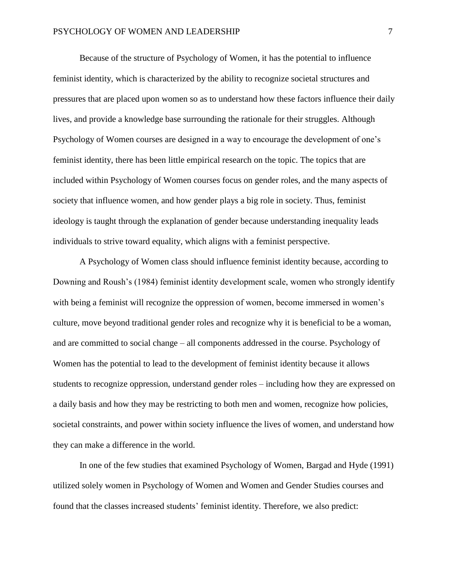Because of the structure of Psychology of Women, it has the potential to influence feminist identity, which is characterized by the ability to recognize societal structures and pressures that are placed upon women so as to understand how these factors influence their daily lives, and provide a knowledge base surrounding the rationale for their struggles. Although Psychology of Women courses are designed in a way to encourage the development of one's feminist identity, there has been little empirical research on the topic. The topics that are included within Psychology of Women courses focus on gender roles, and the many aspects of society that influence women, and how gender plays a big role in society. Thus, feminist ideology is taught through the explanation of gender because understanding inequality leads individuals to strive toward equality, which aligns with a feminist perspective.

A Psychology of Women class should influence feminist identity because, according to Downing and Roush's (1984) feminist identity development scale, women who strongly identify with being a feminist will recognize the oppression of women, become immersed in women's culture, move beyond traditional gender roles and recognize why it is beneficial to be a woman, and are committed to social change – all components addressed in the course. Psychology of Women has the potential to lead to the development of feminist identity because it allows students to recognize oppression, understand gender roles – including how they are expressed on a daily basis and how they may be restricting to both men and women, recognize how policies, societal constraints, and power within society influence the lives of women, and understand how they can make a difference in the world.

In one of the few studies that examined Psychology of Women, Bargad and Hyde (1991) utilized solely women in Psychology of Women and Women and Gender Studies courses and found that the classes increased students' feminist identity. Therefore, we also predict: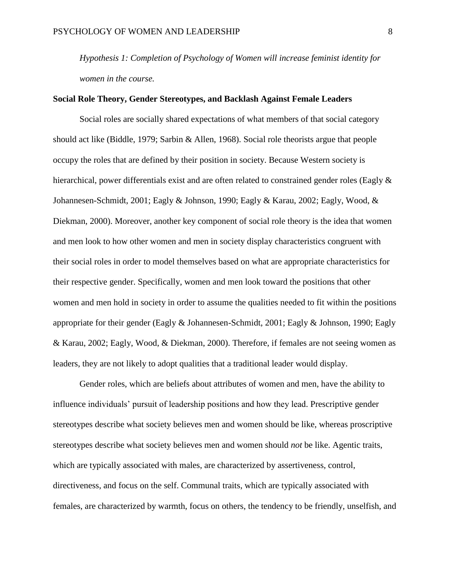*Hypothesis 1: Completion of Psychology of Women will increase feminist identity for women in the course.* 

## **Social Role Theory, Gender Stereotypes, and Backlash Against Female Leaders**

Social roles are socially shared expectations of what members of that social category should act like (Biddle, 1979; Sarbin & Allen, 1968). Social role theorists argue that people occupy the roles that are defined by their position in society. Because Western society is hierarchical, power differentials exist and are often related to constrained gender roles (Eagly & Johannesen-Schmidt, 2001; Eagly & Johnson, 1990; Eagly & Karau, 2002; Eagly, Wood, & Diekman, 2000). Moreover, another key component of social role theory is the idea that women and men look to how other women and men in society display characteristics congruent with their social roles in order to model themselves based on what are appropriate characteristics for their respective gender. Specifically, women and men look toward the positions that other women and men hold in society in order to assume the qualities needed to fit within the positions appropriate for their gender (Eagly & Johannesen-Schmidt, 2001; Eagly & Johnson, 1990; Eagly & Karau, 2002; Eagly, Wood, & Diekman, 2000). Therefore, if females are not seeing women as leaders, they are not likely to adopt qualities that a traditional leader would display.

Gender roles, which are beliefs about attributes of women and men, have the ability to influence individuals' pursuit of leadership positions and how they lead. Prescriptive gender stereotypes describe what society believes men and women should be like, whereas proscriptive stereotypes describe what society believes men and women should *not* be like. Agentic traits, which are typically associated with males, are characterized by assertiveness, control, directiveness, and focus on the self. Communal traits, which are typically associated with females, are characterized by warmth, focus on others, the tendency to be friendly, unselfish, and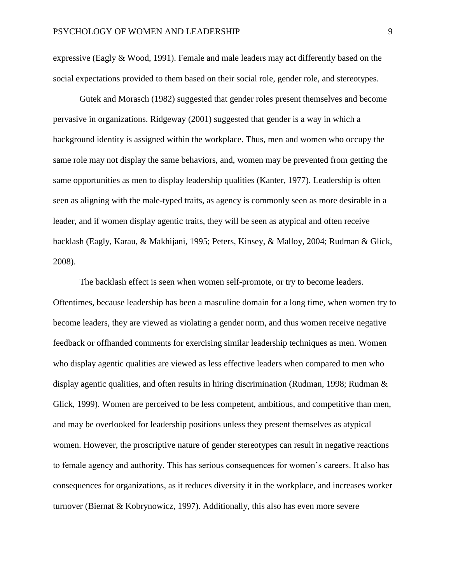expressive (Eagly  $& Wood, 1991$ ). Female and male leaders may act differently based on the social expectations provided to them based on their social role, gender role, and stereotypes.

Gutek and Morasch (1982) suggested that gender roles present themselves and become pervasive in organizations. Ridgeway (2001) suggested that gender is a way in which a background identity is assigned within the workplace. Thus, men and women who occupy the same role may not display the same behaviors, and, women may be prevented from getting the same opportunities as men to display leadership qualities (Kanter, 1977). Leadership is often seen as aligning with the male-typed traits, as agency is commonly seen as more desirable in a leader, and if women display agentic traits, they will be seen as atypical and often receive backlash (Eagly, Karau, & Makhijani, 1995; Peters, Kinsey, & Malloy, 2004; Rudman & Glick, 2008).

The backlash effect is seen when women self-promote, or try to become leaders. Oftentimes, because leadership has been a masculine domain for a long time, when women try to become leaders, they are viewed as violating a gender norm, and thus women receive negative feedback or offhanded comments for exercising similar leadership techniques as men. Women who display agentic qualities are viewed as less effective leaders when compared to men who display agentic qualities, and often results in hiring discrimination (Rudman, 1998; Rudman & Glick, 1999). Women are perceived to be less competent, ambitious, and competitive than men, and may be overlooked for leadership positions unless they present themselves as atypical women. However, the proscriptive nature of gender stereotypes can result in negative reactions to female agency and authority. This has serious consequences for women's careers. It also has consequences for organizations, as it reduces diversity it in the workplace, and increases worker turnover (Biernat  $& Kobrynowicz, 1997)$ . Additionally, this also has even more severe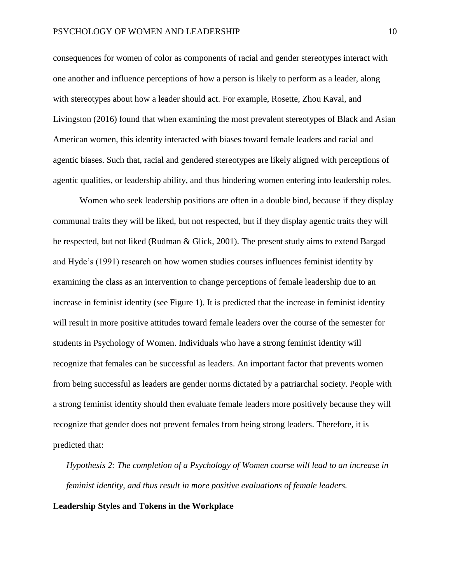consequences for women of color as components of racial and gender stereotypes interact with one another and influence perceptions of how a person is likely to perform as a leader, along with stereotypes about how a leader should act. For example, Rosette, Zhou Kaval, and Livingston (2016) found that when examining the most prevalent stereotypes of Black and Asian American women, this identity interacted with biases toward female leaders and racial and agentic biases. Such that, racial and gendered stereotypes are likely aligned with perceptions of agentic qualities, or leadership ability, and thus hindering women entering into leadership roles.

Women who seek leadership positions are often in a double bind, because if they display communal traits they will be liked, but not respected, but if they display agentic traits they will be respected, but not liked (Rudman & Glick, 2001). The present study aims to extend Bargad and Hyde's (1991) research on how women studies courses influences feminist identity by examining the class as an intervention to change perceptions of female leadership due to an increase in feminist identity (see Figure 1). It is predicted that the increase in feminist identity will result in more positive attitudes toward female leaders over the course of the semester for students in Psychology of Women. Individuals who have a strong feminist identity will recognize that females can be successful as leaders. An important factor that prevents women from being successful as leaders are gender norms dictated by a patriarchal society. People with a strong feminist identity should then evaluate female leaders more positively because they will recognize that gender does not prevent females from being strong leaders. Therefore, it is predicted that:

*Hypothesis 2: The completion of a Psychology of Women course will lead to an increase in feminist identity, and thus result in more positive evaluations of female leaders.* 

### **Leadership Styles and Tokens in the Workplace**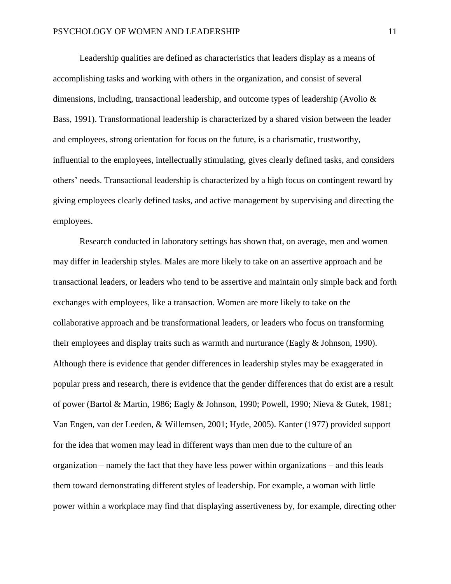Leadership qualities are defined as characteristics that leaders display as a means of accomplishing tasks and working with others in the organization, and consist of several dimensions, including, transactional leadership, and outcome types of leadership (Avolio & Bass, 1991). Transformational leadership is characterized by a shared vision between the leader and employees, strong orientation for focus on the future, is a charismatic, trustworthy, influential to the employees, intellectually stimulating, gives clearly defined tasks, and considers others' needs. Transactional leadership is characterized by a high focus on contingent reward by giving employees clearly defined tasks, and active management by supervising and directing the employees.

Research conducted in laboratory settings has shown that, on average, men and women may differ in leadership styles. Males are more likely to take on an assertive approach and be transactional leaders, or leaders who tend to be assertive and maintain only simple back and forth exchanges with employees, like a transaction. Women are more likely to take on the collaborative approach and be transformational leaders, or leaders who focus on transforming their employees and display traits such as warmth and nurturance (Eagly & Johnson, 1990). Although there is evidence that gender differences in leadership styles may be exaggerated in popular press and research, there is evidence that the gender differences that do exist are a result of power (Bartol & Martin, 1986; Eagly & Johnson, 1990; Powell, 1990; Nieva & Gutek, 1981; Van Engen, van der Leeden, & Willemsen, 2001; Hyde, 2005). Kanter (1977) provided support for the idea that women may lead in different ways than men due to the culture of an organization – namely the fact that they have less power within organizations – and this leads them toward demonstrating different styles of leadership. For example, a woman with little power within a workplace may find that displaying assertiveness by, for example, directing other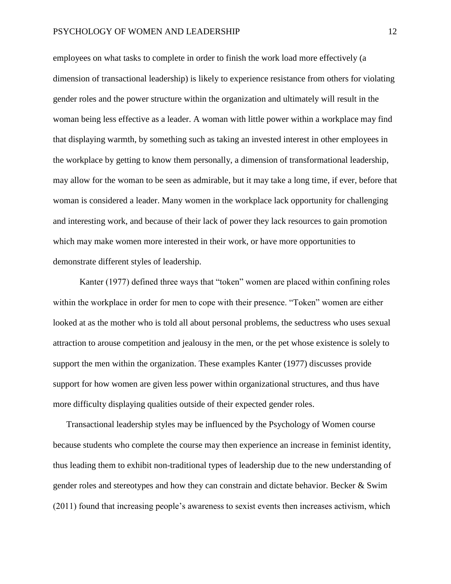employees on what tasks to complete in order to finish the work load more effectively (a dimension of transactional leadership) is likely to experience resistance from others for violating gender roles and the power structure within the organization and ultimately will result in the woman being less effective as a leader. A woman with little power within a workplace may find that displaying warmth, by something such as taking an invested interest in other employees in the workplace by getting to know them personally, a dimension of transformational leadership, may allow for the woman to be seen as admirable, but it may take a long time, if ever, before that woman is considered a leader. Many women in the workplace lack opportunity for challenging and interesting work, and because of their lack of power they lack resources to gain promotion which may make women more interested in their work, or have more opportunities to demonstrate different styles of leadership.

Kanter (1977) defined three ways that "token" women are placed within confining roles within the workplace in order for men to cope with their presence. "Token" women are either looked at as the mother who is told all about personal problems, the seductress who uses sexual attraction to arouse competition and jealousy in the men, or the pet whose existence is solely to support the men within the organization. These examples Kanter (1977) discusses provide support for how women are given less power within organizational structures, and thus have more difficulty displaying qualities outside of their expected gender roles.

Transactional leadership styles may be influenced by the Psychology of Women course because students who complete the course may then experience an increase in feminist identity, thus leading them to exhibit non-traditional types of leadership due to the new understanding of gender roles and stereotypes and how they can constrain and dictate behavior. Becker & Swim (2011) found that increasing people's awareness to sexist events then increases activism, which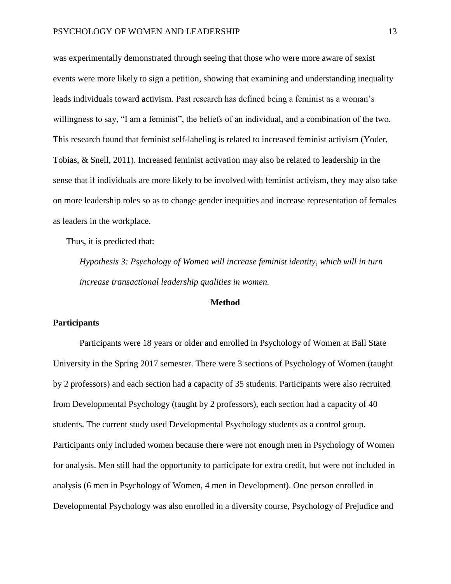was experimentally demonstrated through seeing that those who were more aware of sexist events were more likely to sign a petition, showing that examining and understanding inequality leads individuals toward activism. Past research has defined being a feminist as a woman's willingness to say, "I am a feminist", the beliefs of an individual, and a combination of the two. This research found that feminist self-labeling is related to increased feminist activism (Yoder, Tobias, & Snell, 2011). Increased feminist activation may also be related to leadership in the sense that if individuals are more likely to be involved with feminist activism, they may also take on more leadership roles so as to change gender inequities and increase representation of females as leaders in the workplace.

Thus, it is predicted that:

*Hypothesis 3: Psychology of Women will increase feminist identity, which will in turn increase transactional leadership qualities in women.*

### **Method**

## **Participants**

Participants were 18 years or older and enrolled in Psychology of Women at Ball State University in the Spring 2017 semester. There were 3 sections of Psychology of Women (taught by 2 professors) and each section had a capacity of 35 students. Participants were also recruited from Developmental Psychology (taught by 2 professors), each section had a capacity of 40 students. The current study used Developmental Psychology students as a control group. Participants only included women because there were not enough men in Psychology of Women for analysis. Men still had the opportunity to participate for extra credit, but were not included in analysis (6 men in Psychology of Women, 4 men in Development). One person enrolled in Developmental Psychology was also enrolled in a diversity course, Psychology of Prejudice and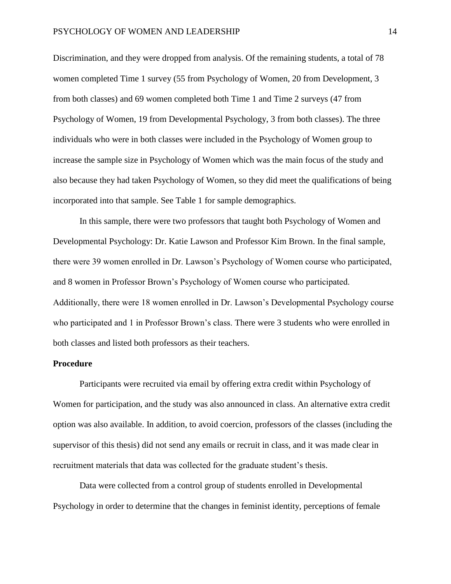Discrimination, and they were dropped from analysis. Of the remaining students, a total of 78 women completed Time 1 survey (55 from Psychology of Women, 20 from Development, 3 from both classes) and 69 women completed both Time 1 and Time 2 surveys (47 from Psychology of Women, 19 from Developmental Psychology, 3 from both classes). The three individuals who were in both classes were included in the Psychology of Women group to increase the sample size in Psychology of Women which was the main focus of the study and also because they had taken Psychology of Women, so they did meet the qualifications of being incorporated into that sample. See Table 1 for sample demographics.

In this sample, there were two professors that taught both Psychology of Women and Developmental Psychology: Dr. Katie Lawson and Professor Kim Brown. In the final sample, there were 39 women enrolled in Dr. Lawson's Psychology of Women course who participated, and 8 women in Professor Brown's Psychology of Women course who participated. Additionally, there were 18 women enrolled in Dr. Lawson's Developmental Psychology course who participated and 1 in Professor Brown's class. There were 3 students who were enrolled in both classes and listed both professors as their teachers.

### **Procedure**

Participants were recruited via email by offering extra credit within Psychology of Women for participation, and the study was also announced in class. An alternative extra credit option was also available. In addition, to avoid coercion, professors of the classes (including the supervisor of this thesis) did not send any emails or recruit in class, and it was made clear in recruitment materials that data was collected for the graduate student's thesis.

Data were collected from a control group of students enrolled in Developmental Psychology in order to determine that the changes in feminist identity, perceptions of female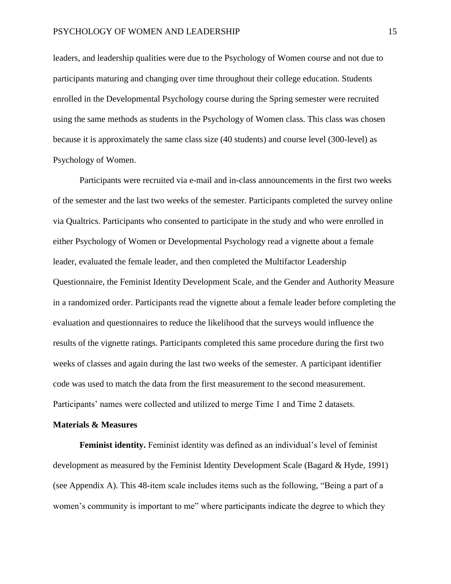leaders, and leadership qualities were due to the Psychology of Women course and not due to participants maturing and changing over time throughout their college education. Students enrolled in the Developmental Psychology course during the Spring semester were recruited using the same methods as students in the Psychology of Women class. This class was chosen because it is approximately the same class size (40 students) and course level (300-level) as Psychology of Women.

Participants were recruited via e-mail and in-class announcements in the first two weeks of the semester and the last two weeks of the semester. Participants completed the survey online via Qualtrics. Participants who consented to participate in the study and who were enrolled in either Psychology of Women or Developmental Psychology read a vignette about a female leader, evaluated the female leader, and then completed the Multifactor Leadership Questionnaire, the Feminist Identity Development Scale, and the Gender and Authority Measure in a randomized order. Participants read the vignette about a female leader before completing the evaluation and questionnaires to reduce the likelihood that the surveys would influence the results of the vignette ratings. Participants completed this same procedure during the first two weeks of classes and again during the last two weeks of the semester. A participant identifier code was used to match the data from the first measurement to the second measurement. Participants' names were collected and utilized to merge Time 1 and Time 2 datasets.

### **Materials & Measures**

**Feminist identity.** Feminist identity was defined as an individual's level of feminist development as measured by the Feminist Identity Development Scale (Bagard & Hyde, 1991) (see Appendix A). This 48-item scale includes items such as the following, "Being a part of a women's community is important to me" where participants indicate the degree to which they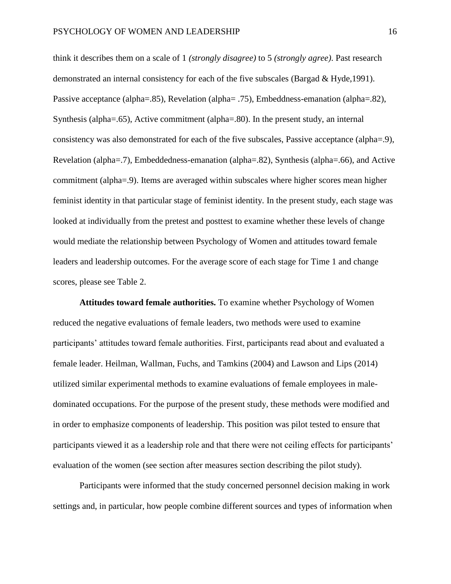think it describes them on a scale of 1 *(strongly disagree)* to 5 *(strongly agree)*. Past research demonstrated an internal consistency for each of the five subscales (Bargad & Hyde,1991). Passive acceptance (alpha=.85), Revelation (alpha= .75), Embeddness-emanation (alpha=.82), Synthesis (alpha=.65), Active commitment (alpha=.80). In the present study, an internal consistency was also demonstrated for each of the five subscales, Passive acceptance (alpha=.9), Revelation (alpha=.7), Embeddedness-emanation (alpha=.82), Synthesis (alpha=.66), and Active commitment (alpha=.9). Items are averaged within subscales where higher scores mean higher feminist identity in that particular stage of feminist identity. In the present study, each stage was looked at individually from the pretest and posttest to examine whether these levels of change would mediate the relationship between Psychology of Women and attitudes toward female leaders and leadership outcomes. For the average score of each stage for Time 1 and change scores, please see Table 2.

**Attitudes toward female authorities.** To examine whether Psychology of Women reduced the negative evaluations of female leaders, two methods were used to examine participants' attitudes toward female authorities. First, participants read about and evaluated a female leader. Heilman, Wallman, Fuchs, and Tamkins (2004) and Lawson and Lips (2014) utilized similar experimental methods to examine evaluations of female employees in maledominated occupations. For the purpose of the present study, these methods were modified and in order to emphasize components of leadership. This position was pilot tested to ensure that participants viewed it as a leadership role and that there were not ceiling effects for participants' evaluation of the women (see section after measures section describing the pilot study).

Participants were informed that the study concerned personnel decision making in work settings and, in particular, how people combine different sources and types of information when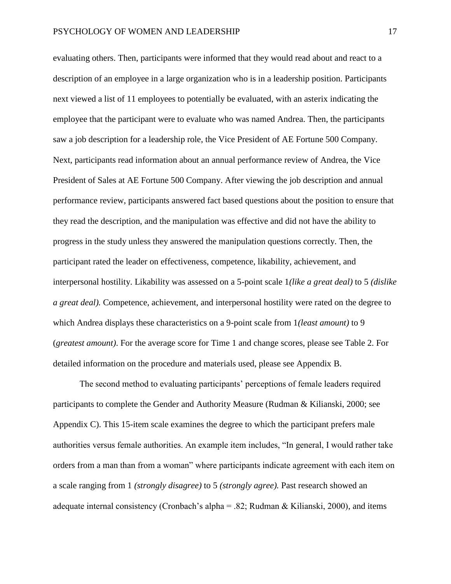evaluating others. Then, participants were informed that they would read about and react to a description of an employee in a large organization who is in a leadership position. Participants next viewed a list of 11 employees to potentially be evaluated, with an asterix indicating the employee that the participant were to evaluate who was named Andrea. Then, the participants saw a job description for a leadership role, the Vice President of AE Fortune 500 Company. Next, participants read information about an annual performance review of Andrea, the Vice President of Sales at AE Fortune 500 Company. After viewing the job description and annual performance review, participants answered fact based questions about the position to ensure that they read the description, and the manipulation was effective and did not have the ability to progress in the study unless they answered the manipulation questions correctly. Then, the participant rated the leader on effectiveness, competence, likability, achievement, and interpersonal hostility. Likability was assessed on a 5-point scale 1*(like a great deal)* to 5 *(dislike a great deal).* Competence, achievement, and interpersonal hostility were rated on the degree to which Andrea displays these characteristics on a 9-point scale from 1*(least amount)* to 9 (*greatest amount)*. For the average score for Time 1 and change scores, please see Table 2. For detailed information on the procedure and materials used, please see Appendix B.

The second method to evaluating participants' perceptions of female leaders required participants to complete the Gender and Authority Measure (Rudman & Kilianski, 2000; see Appendix C). This 15-item scale examines the degree to which the participant prefers male authorities versus female authorities. An example item includes, "In general, I would rather take orders from a man than from a woman" where participants indicate agreement with each item on a scale ranging from 1 *(strongly disagree)* to 5 *(strongly agree).* Past research showed an adequate internal consistency (Cronbach's alpha = .82; Rudman & Kilianski, 2000), and items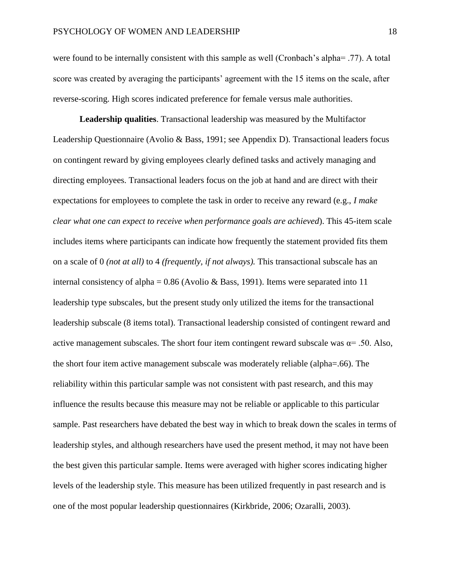were found to be internally consistent with this sample as well (Cronbach's alpha= .77). A total score was created by averaging the participants' agreement with the 15 items on the scale, after reverse-scoring. High scores indicated preference for female versus male authorities.

**Leadership qualities**. Transactional leadership was measured by the Multifactor Leadership Questionnaire (Avolio & Bass, 1991; see Appendix D). Transactional leaders focus on contingent reward by giving employees clearly defined tasks and actively managing and directing employees. Transactional leaders focus on the job at hand and are direct with their expectations for employees to complete the task in order to receive any reward (e.g., *I make clear what one can expect to receive when performance goals are achieved*). This 45-item scale includes items where participants can indicate how frequently the statement provided fits them on a scale of 0 *(not at all)* to 4 *(frequently, if not always).* This transactional subscale has an internal consistency of alpha =  $0.86$  (Avolio & Bass, 1991). Items were separated into 11 leadership type subscales, but the present study only utilized the items for the transactional leadership subscale (8 items total). Transactional leadership consisted of contingent reward and active management subscales. The short four item contingent reward subscale was  $\alpha$ = .50. Also, the short four item active management subscale was moderately reliable (alpha=.66). The reliability within this particular sample was not consistent with past research, and this may influence the results because this measure may not be reliable or applicable to this particular sample. Past researchers have debated the best way in which to break down the scales in terms of leadership styles, and although researchers have used the present method, it may not have been the best given this particular sample. Items were averaged with higher scores indicating higher levels of the leadership style. This measure has been utilized frequently in past research and is one of the most popular leadership questionnaires (Kirkbride, 2006; Ozaralli, 2003).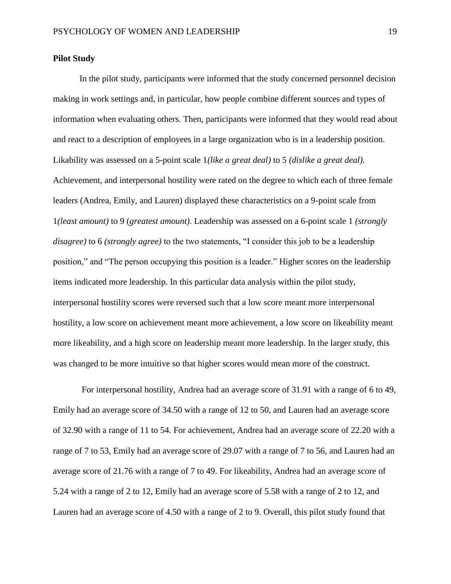### **Pilot Study**

In the pilot study, participants were informed that the study concerned personnel decision making in work settings and, in particular, how people combine different sources and types of information when evaluating others. Then, participants were informed that they would read about and react to a description of employees in a large organization who is in a leadership position. Likability was assessed on a 5-point scale 1*(like a great deal)* to 5 *(dislike a great deal).*  Achievement, and interpersonal hostility were rated on the degree to which each of three female leaders (Andrea, Emily, and Lauren) displayed these characteristics on a 9-point scale from 1*(least amount)* to 9 (*greatest amount)*. Leadership was assessed on a 6-point scale 1 *(strongly disagree)* to 6 *(strongly agree)* to the two statements, "I consider this job to be a leadership position," and "The person occupying this position is a leader." Higher scores on the leadership items indicated more leadership. In this particular data analysis within the pilot study, interpersonal hostility scores were reversed such that a low score meant more interpersonal hostility, a low score on achievement meant more achievement, a low score on likeability meant more likeability, and a high score on leadership meant more leadership. In the larger study, this was changed to be more intuitive so that higher scores would mean more of the construct.

For interpersonal hostility, Andrea had an average score of 31.91 with a range of 6 to 49, Emily had an average score of 34.50 with a range of 12 to 50, and Lauren had an average score of 32.90 with a range of 11 to 54. For achievement, Andrea had an average score of 22.20 with a range of 7 to 53, Emily had an average score of 29.07 with a range of 7 to 56, and Lauren had an average score of 21.76 with a range of 7 to 49. For likeability, Andrea had an average score of 5.24 with a range of 2 to 12, Emily had an average score of 5.58 with a range of 2 to 12, and Lauren had an average score of 4.50 with a range of 2 to 9. Overall, this pilot study found that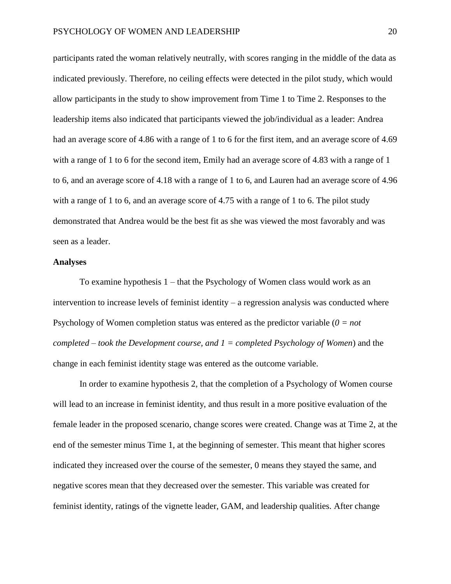participants rated the woman relatively neutrally, with scores ranging in the middle of the data as indicated previously. Therefore, no ceiling effects were detected in the pilot study, which would allow participants in the study to show improvement from Time 1 to Time 2. Responses to the leadership items also indicated that participants viewed the job/individual as a leader: Andrea had an average score of 4.86 with a range of 1 to 6 for the first item, and an average score of 4.69 with a range of 1 to 6 for the second item, Emily had an average score of 4.83 with a range of 1 to 6, and an average score of 4.18 with a range of 1 to 6, and Lauren had an average score of 4.96 with a range of 1 to 6, and an average score of 4.75 with a range of 1 to 6. The pilot study demonstrated that Andrea would be the best fit as she was viewed the most favorably and was seen as a leader.

## **Analyses**

To examine hypothesis 1 – that the Psychology of Women class would work as an intervention to increase levels of feminist identity – a regression analysis was conducted where Psychology of Women completion status was entered as the predictor variable (*0 = not completed – took the Development course, and 1 = completed Psychology of Women*) and the change in each feminist identity stage was entered as the outcome variable.

In order to examine hypothesis 2, that the completion of a Psychology of Women course will lead to an increase in feminist identity, and thus result in a more positive evaluation of the female leader in the proposed scenario, change scores were created. Change was at Time 2, at the end of the semester minus Time 1, at the beginning of semester. This meant that higher scores indicated they increased over the course of the semester, 0 means they stayed the same, and negative scores mean that they decreased over the semester. This variable was created for feminist identity, ratings of the vignette leader, GAM, and leadership qualities. After change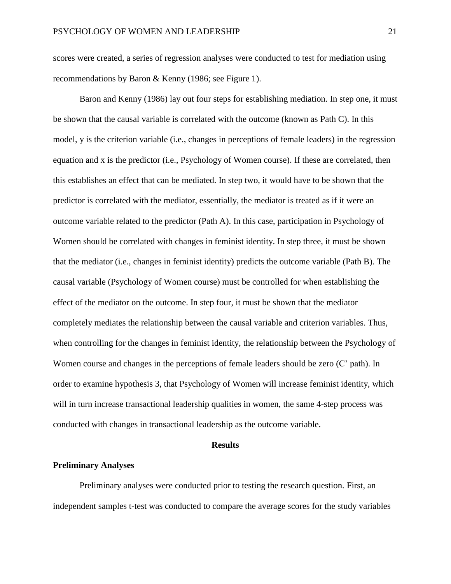scores were created, a series of regression analyses were conducted to test for mediation using recommendations by Baron & Kenny (1986; see Figure 1).

Baron and Kenny (1986) lay out four steps for establishing mediation. In step one, it must be shown that the causal variable is correlated with the outcome (known as Path C). In this model, y is the criterion variable (i.e., changes in perceptions of female leaders) in the regression equation and x is the predictor (i.e., Psychology of Women course). If these are correlated, then this establishes an effect that can be mediated. In step two, it would have to be shown that the predictor is correlated with the mediator, essentially, the mediator is treated as if it were an outcome variable related to the predictor (Path A). In this case, participation in Psychology of Women should be correlated with changes in feminist identity. In step three, it must be shown that the mediator (i.e., changes in feminist identity) predicts the outcome variable (Path B). The causal variable (Psychology of Women course) must be controlled for when establishing the effect of the mediator on the outcome. In step four, it must be shown that the mediator completely mediates the relationship between the causal variable and criterion variables. Thus, when controlling for the changes in feminist identity, the relationship between the Psychology of Women course and changes in the perceptions of female leaders should be zero (C' path). In order to examine hypothesis 3, that Psychology of Women will increase feminist identity, which will in turn increase transactional leadership qualities in women, the same 4-step process was conducted with changes in transactional leadership as the outcome variable.

### **Results**

## **Preliminary Analyses**

Preliminary analyses were conducted prior to testing the research question. First, an independent samples t-test was conducted to compare the average scores for the study variables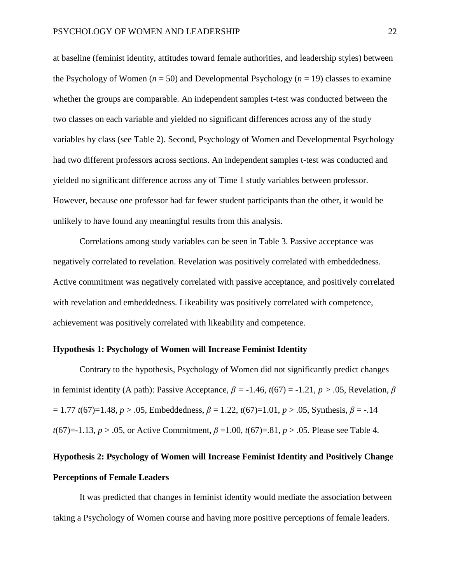at baseline (feminist identity, attitudes toward female authorities, and leadership styles) between the Psychology of Women (*n* = 50) and Developmental Psychology (*n* = 19) classes to examine whether the groups are comparable. An independent samples t-test was conducted between the two classes on each variable and yielded no significant differences across any of the study variables by class (see Table 2). Second, Psychology of Women and Developmental Psychology had two different professors across sections. An independent samples t-test was conducted and yielded no significant difference across any of Time 1 study variables between professor. However, because one professor had far fewer student participants than the other, it would be unlikely to have found any meaningful results from this analysis.

Correlations among study variables can be seen in Table 3. Passive acceptance was negatively correlated to revelation. Revelation was positively correlated with embeddedness. Active commitment was negatively correlated with passive acceptance, and positively correlated with revelation and embeddedness. Likeability was positively correlated with competence, achievement was positively correlated with likeability and competence.

## **Hypothesis 1: Psychology of Women will Increase Feminist Identity**

Contrary to the hypothesis, Psychology of Women did not significantly predict changes in feminist identity (A path): Passive Acceptance,  $\beta = -1.46$ ,  $t(67) = -1.21$ ,  $p > .05$ , Revelation,  $\beta$ = 1.77 *t*(67)=1.48, *p* > .05, Embeddedness, *β* = 1.22, *t*(67)=1.01, *p* > .05, Synthesis, *β* = -.14 *t*(67)=-1.13, *p* > .05, or Active Commitment, *β* =1.00, *t*(67)=.81, *p* > .05. Please see Table 4.

# **Hypothesis 2: Psychology of Women will Increase Feminist Identity and Positively Change Perceptions of Female Leaders**

It was predicted that changes in feminist identity would mediate the association between taking a Psychology of Women course and having more positive perceptions of female leaders.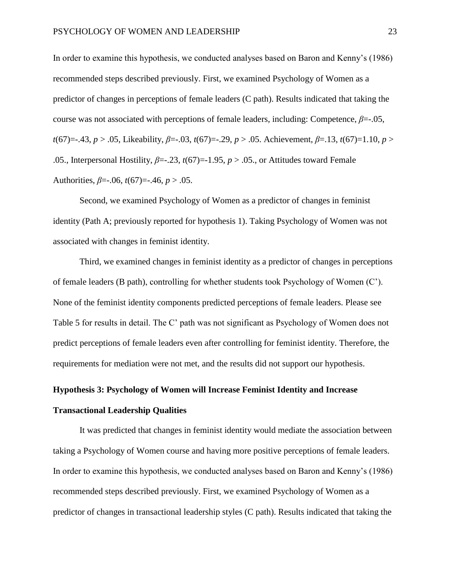In order to examine this hypothesis, we conducted analyses based on Baron and Kenny's (1986) recommended steps described previously. First, we examined Psychology of Women as a predictor of changes in perceptions of female leaders (C path). Results indicated that taking the course was not associated with perceptions of female leaders, including: Competence, *β*=-.05, *t*(67)=-.43, *p* > .05, Likeability, *β*=-.03, *t*(67)=-.29, *p* > .05. Achievement, *β*=.13, *t*(67)=1.10, *p* > .05., Interpersonal Hostility,  $\beta = -23$ ,  $t(67) = -1.95$ ,  $p > .05$ ., or Attitudes toward Female Authorities, *β*=-.06, *t*(67)=-.46, *p* > .05.

Second, we examined Psychology of Women as a predictor of changes in feminist identity (Path A; previously reported for hypothesis 1). Taking Psychology of Women was not associated with changes in feminist identity.

Third, we examined changes in feminist identity as a predictor of changes in perceptions of female leaders (B path), controlling for whether students took Psychology of Women (C'). None of the feminist identity components predicted perceptions of female leaders. Please see Table 5 for results in detail. The C' path was not significant as Psychology of Women does not predict perceptions of female leaders even after controlling for feminist identity. Therefore, the requirements for mediation were not met, and the results did not support our hypothesis.

## **Hypothesis 3: Psychology of Women will Increase Feminist Identity and Increase**

## **Transactional Leadership Qualities**

It was predicted that changes in feminist identity would mediate the association between taking a Psychology of Women course and having more positive perceptions of female leaders. In order to examine this hypothesis, we conducted analyses based on Baron and Kenny's (1986) recommended steps described previously. First, we examined Psychology of Women as a predictor of changes in transactional leadership styles (C path). Results indicated that taking the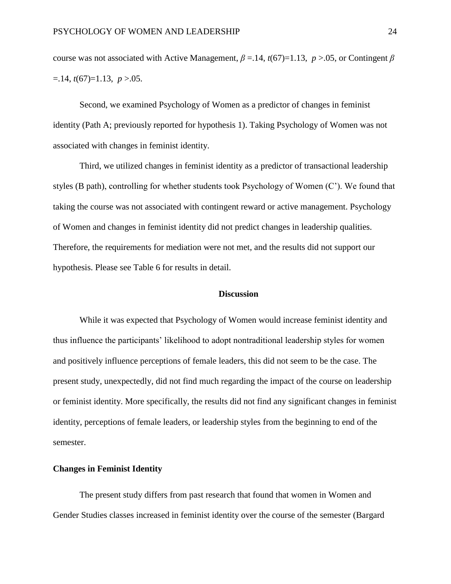course was not associated with Active Management, *β* =.14, *t*(67)=1.13, *p* >.05, or Contingent *β*   $=$ .14,  $t(67)=1.13, p>0.05$ .

Second, we examined Psychology of Women as a predictor of changes in feminist identity (Path A; previously reported for hypothesis 1). Taking Psychology of Women was not associated with changes in feminist identity.

Third, we utilized changes in feminist identity as a predictor of transactional leadership styles (B path), controlling for whether students took Psychology of Women (C'). We found that taking the course was not associated with contingent reward or active management. Psychology of Women and changes in feminist identity did not predict changes in leadership qualities. Therefore, the requirements for mediation were not met, and the results did not support our hypothesis. Please see Table 6 for results in detail.

## **Discussion**

While it was expected that Psychology of Women would increase feminist identity and thus influence the participants' likelihood to adopt nontraditional leadership styles for women and positively influence perceptions of female leaders, this did not seem to be the case. The present study, unexpectedly, did not find much regarding the impact of the course on leadership or feminist identity. More specifically, the results did not find any significant changes in feminist identity, perceptions of female leaders, or leadership styles from the beginning to end of the semester.

## **Changes in Feminist Identity**

The present study differs from past research that found that women in Women and Gender Studies classes increased in feminist identity over the course of the semester (Bargard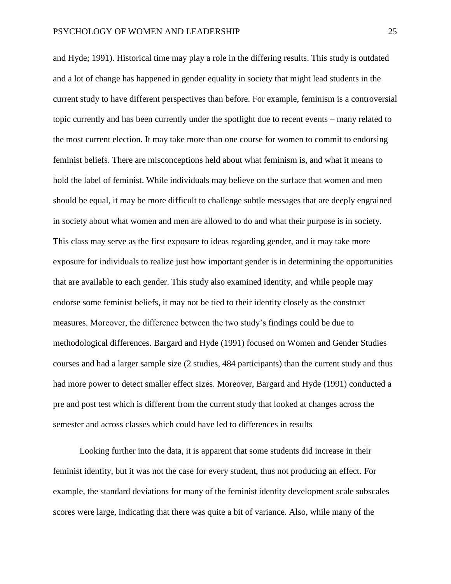and Hyde; 1991). Historical time may play a role in the differing results. This study is outdated and a lot of change has happened in gender equality in society that might lead students in the current study to have different perspectives than before. For example, feminism is a controversial topic currently and has been currently under the spotlight due to recent events – many related to the most current election. It may take more than one course for women to commit to endorsing feminist beliefs. There are misconceptions held about what feminism is, and what it means to hold the label of feminist. While individuals may believe on the surface that women and men should be equal, it may be more difficult to challenge subtle messages that are deeply engrained in society about what women and men are allowed to do and what their purpose is in society. This class may serve as the first exposure to ideas regarding gender, and it may take more exposure for individuals to realize just how important gender is in determining the opportunities that are available to each gender. This study also examined identity, and while people may endorse some feminist beliefs, it may not be tied to their identity closely as the construct measures. Moreover, the difference between the two study's findings could be due to methodological differences. Bargard and Hyde (1991) focused on Women and Gender Studies courses and had a larger sample size (2 studies, 484 participants) than the current study and thus had more power to detect smaller effect sizes. Moreover, Bargard and Hyde (1991) conducted a pre and post test which is different from the current study that looked at changes across the semester and across classes which could have led to differences in results

Looking further into the data, it is apparent that some students did increase in their feminist identity, but it was not the case for every student, thus not producing an effect. For example, the standard deviations for many of the feminist identity development scale subscales scores were large, indicating that there was quite a bit of variance. Also, while many of the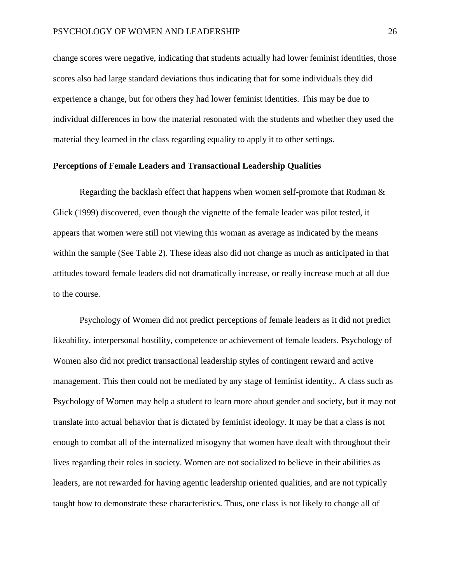change scores were negative, indicating that students actually had lower feminist identities, those scores also had large standard deviations thus indicating that for some individuals they did experience a change, but for others they had lower feminist identities. This may be due to individual differences in how the material resonated with the students and whether they used the material they learned in the class regarding equality to apply it to other settings.

## **Perceptions of Female Leaders and Transactional Leadership Qualities**

Regarding the backlash effect that happens when women self-promote that Rudman  $\&$ Glick (1999) discovered, even though the vignette of the female leader was pilot tested, it appears that women were still not viewing this woman as average as indicated by the means within the sample (See Table 2). These ideas also did not change as much as anticipated in that attitudes toward female leaders did not dramatically increase, or really increase much at all due to the course.

Psychology of Women did not predict perceptions of female leaders as it did not predict likeability, interpersonal hostility, competence or achievement of female leaders. Psychology of Women also did not predict transactional leadership styles of contingent reward and active management. This then could not be mediated by any stage of feminist identity.. A class such as Psychology of Women may help a student to learn more about gender and society, but it may not translate into actual behavior that is dictated by feminist ideology. It may be that a class is not enough to combat all of the internalized misogyny that women have dealt with throughout their lives regarding their roles in society. Women are not socialized to believe in their abilities as leaders, are not rewarded for having agentic leadership oriented qualities, and are not typically taught how to demonstrate these characteristics. Thus, one class is not likely to change all of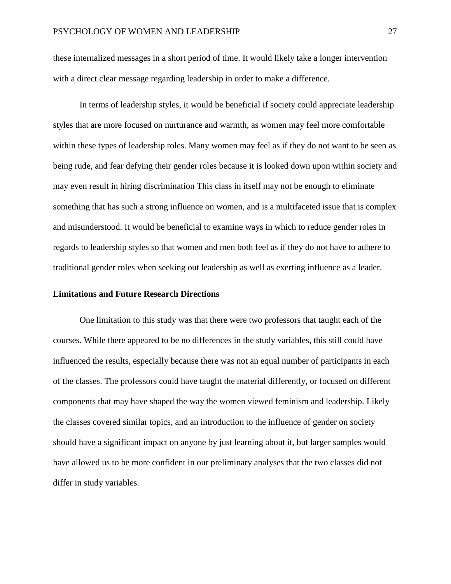these internalized messages in a short period of time. It would likely take a longer intervention with a direct clear message regarding leadership in order to make a difference.

In terms of leadership styles, it would be beneficial if society could appreciate leadership styles that are more focused on nurturance and warmth, as women may feel more comfortable within these types of leadership roles. Many women may feel as if they do not want to be seen as being rude, and fear defying their gender roles because it is looked down upon within society and may even result in hiring discrimination This class in itself may not be enough to eliminate something that has such a strong influence on women, and is a multifaceted issue that is complex and misunderstood. It would be beneficial to examine ways in which to reduce gender roles in regards to leadership styles so that women and men both feel as if they do not have to adhere to traditional gender roles when seeking out leadership as well as exerting influence as a leader.

### **Limitations and Future Research Directions**

One limitation to this study was that there were two professors that taught each of the courses. While there appeared to be no differences in the study variables, this still could have influenced the results, especially because there was not an equal number of participants in each of the classes. The professors could have taught the material differently, or focused on different components that may have shaped the way the women viewed feminism and leadership. Likely the classes covered similar topics, and an introduction to the influence of gender on society should have a significant impact on anyone by just learning about it, but larger samples would have allowed us to be more confident in our preliminary analyses that the two classes did not differ in study variables.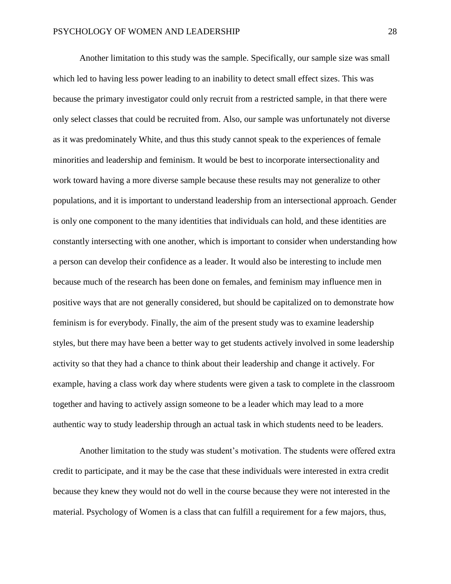Another limitation to this study was the sample. Specifically, our sample size was small which led to having less power leading to an inability to detect small effect sizes. This was because the primary investigator could only recruit from a restricted sample, in that there were only select classes that could be recruited from. Also, our sample was unfortunately not diverse as it was predominately White, and thus this study cannot speak to the experiences of female minorities and leadership and feminism. It would be best to incorporate intersectionality and work toward having a more diverse sample because these results may not generalize to other populations, and it is important to understand leadership from an intersectional approach. Gender is only one component to the many identities that individuals can hold, and these identities are constantly intersecting with one another, which is important to consider when understanding how a person can develop their confidence as a leader. It would also be interesting to include men because much of the research has been done on females, and feminism may influence men in positive ways that are not generally considered, but should be capitalized on to demonstrate how feminism is for everybody. Finally, the aim of the present study was to examine leadership styles, but there may have been a better way to get students actively involved in some leadership activity so that they had a chance to think about their leadership and change it actively. For example, having a class work day where students were given a task to complete in the classroom together and having to actively assign someone to be a leader which may lead to a more authentic way to study leadership through an actual task in which students need to be leaders.

Another limitation to the study was student's motivation. The students were offered extra credit to participate, and it may be the case that these individuals were interested in extra credit because they knew they would not do well in the course because they were not interested in the material. Psychology of Women is a class that can fulfill a requirement for a few majors, thus,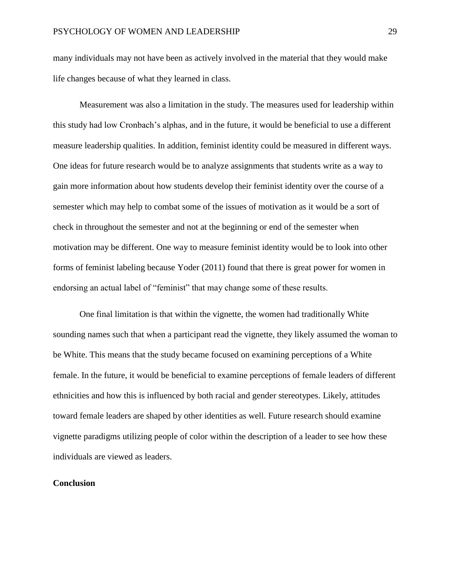many individuals may not have been as actively involved in the material that they would make life changes because of what they learned in class.

Measurement was also a limitation in the study. The measures used for leadership within this study had low Cronbach's alphas, and in the future, it would be beneficial to use a different measure leadership qualities. In addition, feminist identity could be measured in different ways. One ideas for future research would be to analyze assignments that students write as a way to gain more information about how students develop their feminist identity over the course of a semester which may help to combat some of the issues of motivation as it would be a sort of check in throughout the semester and not at the beginning or end of the semester when motivation may be different. One way to measure feminist identity would be to look into other forms of feminist labeling because Yoder (2011) found that there is great power for women in endorsing an actual label of "feminist" that may change some of these results.

One final limitation is that within the vignette, the women had traditionally White sounding names such that when a participant read the vignette, they likely assumed the woman to be White. This means that the study became focused on examining perceptions of a White female. In the future, it would be beneficial to examine perceptions of female leaders of different ethnicities and how this is influenced by both racial and gender stereotypes. Likely, attitudes toward female leaders are shaped by other identities as well. Future research should examine vignette paradigms utilizing people of color within the description of a leader to see how these individuals are viewed as leaders.

## **Conclusion**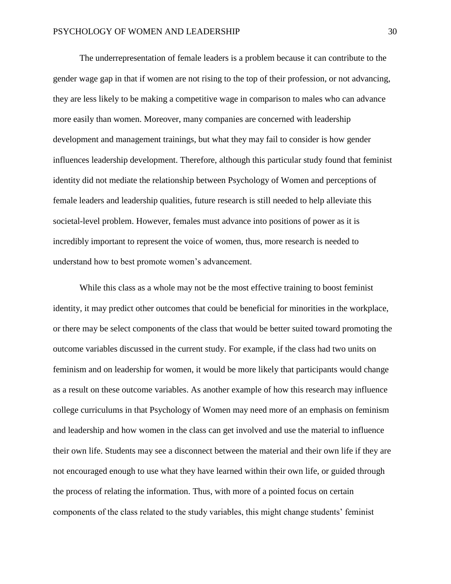The underrepresentation of female leaders is a problem because it can contribute to the gender wage gap in that if women are not rising to the top of their profession, or not advancing, they are less likely to be making a competitive wage in comparison to males who can advance more easily than women. Moreover, many companies are concerned with leadership development and management trainings, but what they may fail to consider is how gender influences leadership development. Therefore, although this particular study found that feminist identity did not mediate the relationship between Psychology of Women and perceptions of female leaders and leadership qualities, future research is still needed to help alleviate this societal-level problem. However, females must advance into positions of power as it is incredibly important to represent the voice of women, thus, more research is needed to understand how to best promote women's advancement.

While this class as a whole may not be the most effective training to boost feminist identity, it may predict other outcomes that could be beneficial for minorities in the workplace, or there may be select components of the class that would be better suited toward promoting the outcome variables discussed in the current study. For example, if the class had two units on feminism and on leadership for women, it would be more likely that participants would change as a result on these outcome variables. As another example of how this research may influence college curriculums in that Psychology of Women may need more of an emphasis on feminism and leadership and how women in the class can get involved and use the material to influence their own life. Students may see a disconnect between the material and their own life if they are not encouraged enough to use what they have learned within their own life, or guided through the process of relating the information. Thus, with more of a pointed focus on certain components of the class related to the study variables, this might change students' feminist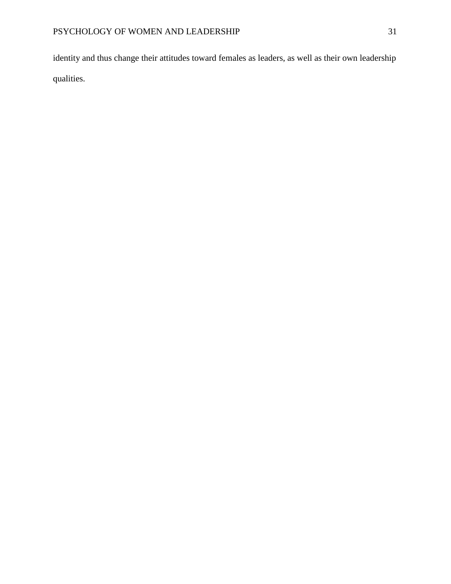identity and thus change their attitudes toward females as leaders, as well as their own leadership qualities.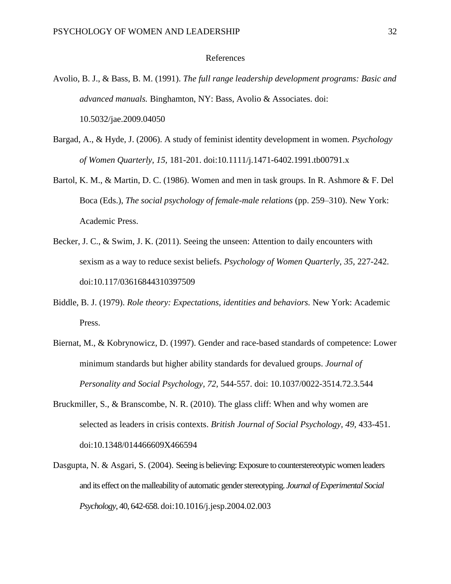### References

- Avolio, B. J., & Bass, B. M. (1991). *The full range leadership development programs: Basic and advanced manuals.* Binghamton, NY: Bass, Avolio & Associates. doi: 10.5032/jae.2009.04050
- Bargad, A., & Hyde, J. (2006). A study of feminist identity development in women. *Psychology of Women Quarterly, 15,* 181-201. doi:10.1111/j.1471-6402.1991.tb00791.x
- Bartol, K. M., & Martin, D. C. (1986). Women and men in task groups. In R. Ashmore & F. Del Boca (Eds.), *The social psychology of female-male relations* (pp. 259–310). New York: Academic Press.
- Becker, J. C., & Swim, J. K. (2011). Seeing the unseen: Attention to daily encounters with sexism as a way to reduce sexist beliefs. *Psychology of Women Quarterly, 35,* 227-242. doi:10.117/03616844310397509
- Biddle, B. J. (1979). *Role theory: Expectations, identities and behaviors.* New York: Academic Press.
- Biernat, M., & Kobrynowicz, D. (1997). Gender and race-based standards of competence: Lower minimum standards but higher ability standards for devalued groups. *Journal of Personality and Social Psychology, 72,* 544-557. doi: [10.1037/0022-3514.72.3.544](http://psycnet.apa.org/doi/10.1037/0022-3514.72.3.544)
- Bruckmiller, S., & Branscombe, N. R. (2010). The glass cliff: When and why women are selected as leaders in crisis contexts. *British Journal of Social Psychology, 49,* 433-451. doi:10.1348/014466609X466594
- Dasgupta, N. & Asgari, S. (2004). Seeing is believing: Exposure to counterstereotypic women leaders and its effect on the malleability of automatic gender stereotyping. *Journal of Experimental Social Psychology,* 40, 642-658[. doi:10.1016/j.jesp.2004.02.003](http://dx.doi.org/10.1016/j.jesp.2004.02.003)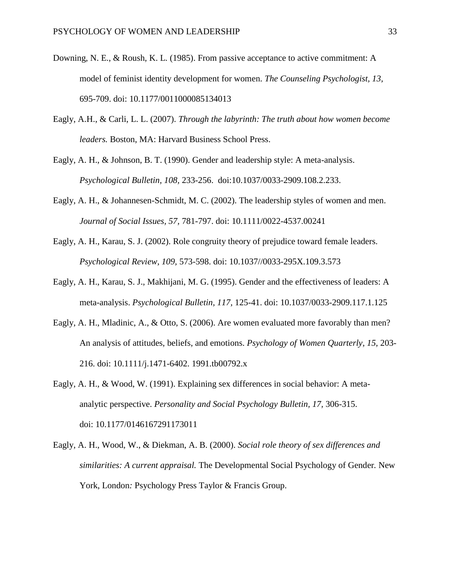- Downing, N. E., & Roush, K. L. (1985). From passive acceptance to active commitment: A model of feminist identity development for women. *The Counseling Psychologist, 13,*  695-709. doi: 10.1177/0011000085134013
- Eagly, A.H., & Carli, L. L. (2007). *Through the labyrinth: The truth about how women become leaders.* Boston, MA: Harvard Business School Press.
- Eagly, A. H., & Johnson, B. T. (1990). Gender and leadership style: A meta-analysis. *Psychological Bulletin, 108,* 233-256. doi:10.1037/0033-2909.108.2.233.
- Eagly, A. H., & Johannesen-Schmidt, M. C. (2002). The leadership styles of women and men. *Journal of Social Issues, 57,* 781-797. doi: 10.1111/0022-4537.00241
- Eagly, A. H., Karau, S. J. (2002). Role congruity theory of prejudice toward female leaders. *Psychological Review, 109,* 573-598. doi: 10.1037//0033-295X.109.3.573
- Eagly, A. H., Karau, S. J., Makhijani, M. G. (1995). Gender and the effectiveness of leaders: A meta-analysis. *Psychological Bulletin, 117,* 125-41. doi: [10.1037/0033-2909.117.1.125](http://psycnet.apa.org/doi/10.1037/0033-2909.117.1.125)
- Eagly, A. H., Mladinic, A., & Otto, S. (2006). Are women evaluated more favorably than men? An analysis of attitudes, beliefs, and emotions. *Psychology of Women Quarterly, 15,* 203- 216. doi: 10.1111/j.1471-6402. 1991.tb00792.x
- Eagly, A. H., & Wood, W. (1991). Explaining sex differences in social behavior: A metaanalytic perspective. *Personality and Social Psychology Bulletin, 17,* 306-315. doi: 10.1177/0146167291173011
- Eagly, A. H., Wood, W., & Diekman, A. B. (2000). *Social role theory of sex differences and similarities: A current appraisal.* The Developmental Social Psychology of Gender*.* New York, London: Psychology Press Taylor & Francis Group.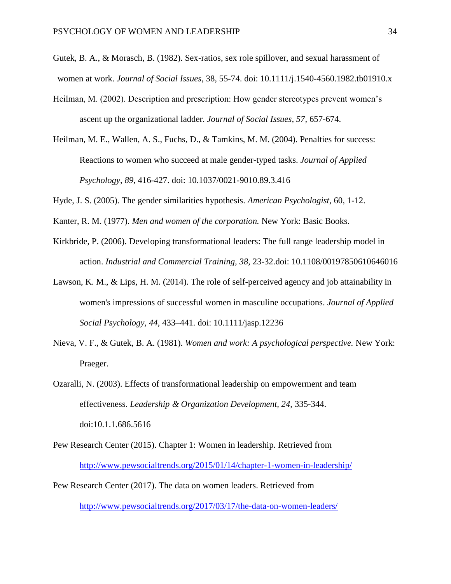- Gutek, B. A., & Morasch, B. (1982). Sex-ratios, sex role spillover, and sexual harassment of women at work. *Journal of Social Issues,* 38*,* 55-74. doi: 10.1111/j.1540-4560.1982.tb01910.x
- Heilman, M. (2002). Description and prescription: How gender stereotypes prevent women's ascent up the organizational ladder. *Journal of Social Issues, 57,* 657-674.
- Heilman, M. E., Wallen, A. S., Fuchs, D., & Tamkins, M. M. (2004). Penalties for success: Reactions to women who succeed at male gender-typed tasks. *Journal of Applied Psychology, 89*, 416-427. doi: 10.1037/0021-9010.89.3.416
- Hyde, J. S. (2005). The gender similarities hypothesis. *American Psychologist*, 60, 1-12.
- Kanter, R. M. (1977). *Men and women of the corporation.* New York: Basic Books.
- Kirkbride, P. (2006). Developing transformational leaders: The full range leadership model in action. *Industrial and Commercial Training, 38,* 23-32.doi: 10.1108/00197850610646016
- Lawson, K. M., & Lips, H. M. (2014). The role of self-perceived agency and job attainability in women's impressions of successful women in masculine occupations. *Journal of Applied Social Psychology, 44,* 433–441. doi: 10.1111/jasp.12236
- Nieva, V. F., & Gutek, B. A. (1981). *Women and work: A psychological perspective.* New York: Praeger.

Ozaralli, N. (2003). Effects of transformational leadership on empowerment and team effectiveness. *Leadership & Organization Development, 24,* 335-344. doi:10.1.1.686.5616

- Pew Research Center (2015). Chapter 1: Women in leadership. Retrieved from <http://www.pewsocialtrends.org/2015/01/14/chapter-1-women-in-leadership/>
- Pew Research Center (2017). The data on women leaders. Retrieved from <http://www.pewsocialtrends.org/2017/03/17/the-data-on-women-leaders/>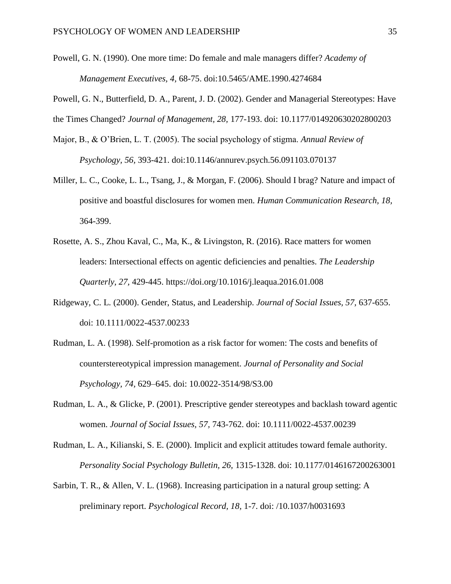- Powell, G. N. (1990). One more time: Do female and male managers differ? *Academy of Management Executives, 4,* 68-75. doi:10.5465/AME.1990.4274684
- Powell, G. N., Butterfield, D. A., Parent, J. D. (2002). Gender and Managerial Stereotypes: Have the Times Changed? *Journal of Management, 28,* 177-193. doi: 10.1177/014920630202800203
- Major, B., & O'Brien, L. T. (2005). The social psychology of stigma. *Annual Review of Psychology, 56,* 393-421. doi:10.1146/annurev.psych.56.091103.070137
- Miller, L. C., Cooke, L. L., Tsang, J., & Morgan, F. (2006). Should I brag? Nature and impact of positive and boastful disclosures for women men. *Human Communication Research, 18,*  364-399.
- Rosette, A. S., Zhou Kaval, C., Ma, K., & Livingston, R. (2016). Race matters for women leaders: Intersectional effects on agentic deficiencies and penalties. *The Leadership Quarterly, 27,* 429-445.<https://doi.org/10.1016/j.leaqua.2016.01.008>
- Ridgeway, C. L. (2000). Gender, Status, and Leadership. *Journal of Social Issues, 57,* 637-655. doi: 10.1111/0022-4537.00233
- Rudman, L. A. (1998). Self-promotion as a risk factor for women: The costs and benefits of counterstereotypical impression management. *Journal of Personality and Social Psychology, 74,* 629–645. doi: 10.0022-3514/98/S3.00
- Rudman, L. A., & Glicke, P. (2001). Prescriptive gender stereotypes and backlash toward agentic women. *Journal of Social Issues, 57,* 743-762. doi: 10.1111/0022-4537.00239
- Rudman, L. A., Kilianski, S. E. (2000). Implicit and explicit attitudes toward female authority. *Personality Social Psychology Bulletin, 26,* 1315-1328. doi: 10.1177/0146167200263001
- Sarbin, T. R., & Allen, V. L. (1968). Increasing participation in a natural group setting: A preliminary report. *Psychological Record, 18,* 1-7. [doi: /10.1037/h0031693](http://psycnet.apa.org/doi/10.1037/h0031693)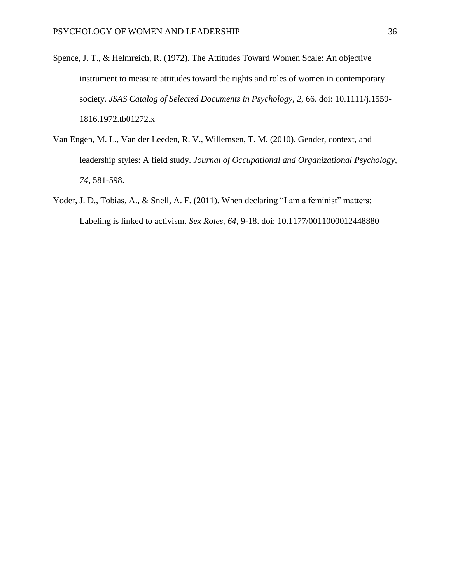- Spence, J. T., & Helmreich, R. (1972). The Attitudes Toward Women Scale: An objective instrument to measure attitudes toward the rights and roles of women in contemporary society. *JSAS Catalog of Selected Documents in Psychology, 2,* 66. doi: 10.1111/j.1559- 1816.1972.tb01272.x
- Van Engen, M. L., Van der Leeden, R. V., Willemsen, T. M. (2010). Gender, context, and leadership styles: A field study. *Journal of Occupational and Organizational Psychology, 74,* 581-598.
- Yoder, J. D., Tobias, A., & Snell, A. F. (2011). When declaring "I am a feminist" matters: Labeling is linked to activism. *Sex Roles, 64,* 9-18. doi: 10.1177/0011000012448880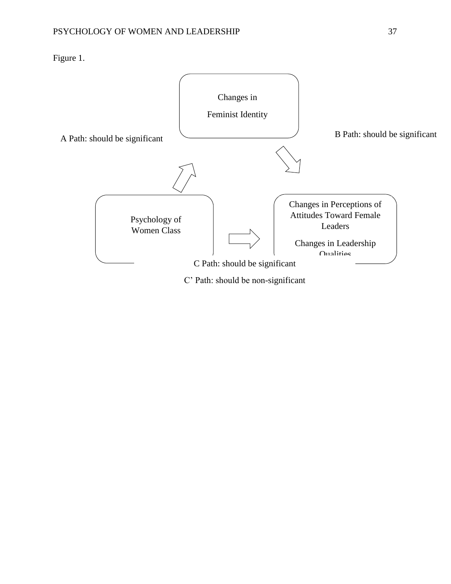Figure 1.

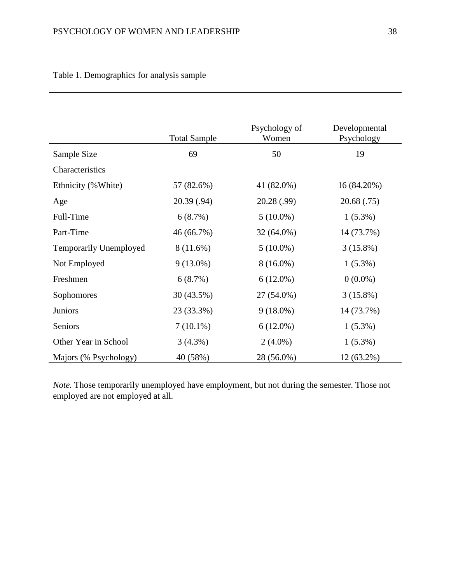|                        | <b>Total Sample</b> | Psychology of<br>Women | Developmental<br>Psychology |
|------------------------|---------------------|------------------------|-----------------------------|
| Sample Size            | 69                  | 50                     | 19                          |
| Characteristics        |                     |                        |                             |
| Ethnicity (%White)     | 57 (82.6%)          | 41 (82.0%)             | 16 (84.20%)                 |
| Age                    | 20.39(.94)          | 20.28 (.99)            | 20.68 (.75)                 |
| Full-Time              | 6(8.7%)             | $5(10.0\%)$            | $1(5.3\%)$                  |
| Part-Time              | 46 (66.7%)          | 32 (64.0%)             | 14 (73.7%)                  |
| Temporarily Unemployed | $8(11.6\%)$         | $5(10.0\%)$            | $3(15.8\%)$                 |
| Not Employed           | $9(13.0\%)$         | $8(16.0\%)$            | $1(5.3\%)$                  |
| Freshmen               | 6(8.7%)             | $6(12.0\%)$            | $0(0.0\%)$                  |
| Sophomores             | 30 (43.5%)          | 27 (54.0%)             | $3(15.8\%)$                 |
| <b>Juniors</b>         | 23 (33.3%)          | $9(18.0\%)$            | 14 (73.7%)                  |
| Seniors                | $7(10.1\%)$         | $6(12.0\%)$            | $1(5.3\%)$                  |
| Other Year in School   | $3(4.3\%)$          | $2(4.0\%)$             | $1(5.3\%)$                  |
| Majors (% Psychology)  | 40 (58%)            | 28 (56.0%)             | $12(63.2\%)$                |

Table 1. Demographics for analysis sample

*Note.* Those temporarily unemployed have employment, but not during the semester. Those not employed are not employed at all.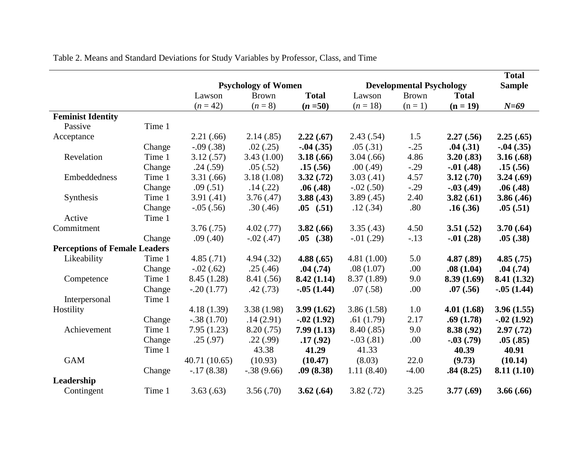|                                      |        |               | <b>Psychology of Women</b> |                 |               | <b>Developmental Psychology</b> |                  | <b>Total</b><br><b>Sample</b> |
|--------------------------------------|--------|---------------|----------------------------|-----------------|---------------|---------------------------------|------------------|-------------------------------|
|                                      |        | Lawson        | <b>Brown</b>               | <b>Total</b>    | Lawson        | <b>Brown</b>                    | <b>Total</b>     |                               |
|                                      |        | $(n = 42)$    | $(n = 8)$                  | $(n = 50)$      | $(n = 18)$    | $(n=1)$                         | $(n = 19)$       | $N=69$                        |
| <b>Feminist Identity</b>             |        |               |                            |                 |               |                                 |                  |                               |
| Passive                              | Time 1 |               |                            |                 |               |                                 |                  |                               |
| Acceptance                           |        | 2.21(.66)     | 2.14(.85)                  | 2.22(.67)       | 2.43(.54)     | 1.5                             | 2.27(.56)        | 2.25(.65)                     |
|                                      | Change | $-.09(.38)$   | .02(.25)                   | $-0.04$ $(.35)$ | .05(.31)      | $-.25$                          | .04(.31)         | $-0.04$ $(.35)$               |
| Revelation                           | Time 1 | 3.12(.57)     | 3.43(1.00)                 | 3.18(.66)       | 3.04(.66)     | 4.86                            | 3.20(.83)        | 3.16(.68)                     |
|                                      | Change | .24(.59)      | .05(.52)                   | .15(.56)        | .00(0.49)     | $-.29$                          | $-0.01(0.48)$    | .15(.56)                      |
| Embeddedness                         | Time 1 | 3.31(.66)     | 3.18(1.08)                 | 3.32(.72)       | 3.03(.41)     | 4.57                            | 3.12(.70)        | 3.24(.69)                     |
|                                      | Change | .09(.51)      | .14(.22)                   | .06(.48)        | $-.02(.50)$   | $-.29$                          | $-.03(.49)$      | .06(.48)                      |
| Synthesis                            | Time 1 | 3.91(.41)     | 3.76(.47)                  | 3.88(0.43)      | 3.89(.45)     | 2.40                            | 3.82(.61)        | 3.86(.46)                     |
|                                      | Change | $-.05(.56)$   | .30(.46)                   | $.05$ $(.51)$   | .12(.34)      | .80                             | .16(.36)         | .05(.51)                      |
| Active                               | Time 1 |               |                            |                 |               |                                 |                  |                               |
| Commitment                           |        | 3.76(.75)     | 4.02(0.77)                 | 3.82(.66)       | 3.35(.43)     | 4.50                            | 3.51(.52)        | 3.70(.64)                     |
|                                      | Change | .09(.40)      | $-.02(.47)$                | $.05$ $(.38)$   | $-0.01$ (.29) | $-.13$                          | $-0.01$ $(.28)$  | .05(.38)                      |
| <b>Perceptions of Female Leaders</b> |        |               |                            |                 |               |                                 |                  |                               |
| Likeability                          | Time 1 | 4.85(.71)     | 4.94(.32)                  | 4.88(.65)       | 4.81(1.00)    | 5.0                             | 4.87(.89)        | 4.85(.75)                     |
|                                      | Change | $-.02(.62)$   | .25(.46)                   | .04(.74)        | .08(1.07)     | .00                             | .08(1.04)        | .04(.74)                      |
| Competence                           | Time 1 | 8.45 (1.28)   | 8.41 (.56)                 | 8.42(1.14)      | 8.37(1.89)    | 9.0                             | 8.39(1.69)       | 8.41 (1.32)                   |
|                                      | Change | $-.20(1.77)$  | .42(.73)                   | $-.05(1.44)$    | .07(.58)      | .00                             | .07(.56)         | $-.05(1.44)$                  |
| Interpersonal                        | Time 1 |               |                            |                 |               |                                 |                  |                               |
| Hostility                            |        | 4.18(1.39)    | 3.38(1.98)                 | 3.99(1.62)      | 3.86(1.58)    | 1.0                             | 4.01(1.68)       | 3.96(1.55)                    |
|                                      | Change | $-.38(1.70)$  | .14(2.91)                  | $-0.02(1.92)$   | .61(1.79)     | 2.17                            | .69(1.78)        | $-0.02(1.92)$                 |
| Achievement                          | Time 1 | 7.95(1.23)    | 8.20(.75)                  | 7.99(1.13)      | 8.40(.85)     | 9.0                             | 8.38(.92)        | 2.97(0.72)                    |
|                                      | Change | .25(.97)      | .22(.99)                   | .17(.92)        | $-.03(.81)$   | .00                             | $-0.03$ $(0.79)$ | .05(.85)                      |
|                                      | Time 1 |               | 43.38                      | 41.29           | 41.33         |                                 | 40.39            | 40.91                         |
| <b>GAM</b>                           |        | 40.71 (10.65) | (10.93)                    | (10.47)         | (8.03)        | 22.0                            | (9.73)           | (10.14)                       |
|                                      | Change | $-17(8.38)$   | $-.38(9.66)$               | .09(8.38)       | 1.11(8.40)    | $-4.00$                         | .84(8.25)        | 8.11(1.10)                    |
| Leadership                           |        |               |                            |                 |               |                                 |                  |                               |
| Contingent                           | Time 1 | 3.63(.63)     | 3.56(.70)                  | 3.62(.64)       | 3.82(.72)     | 3.25                            | 3.77(.69)        | 3.66(.66)                     |

Table 2. Means and Standard Deviations for Study Variables by Professor, Class, and Time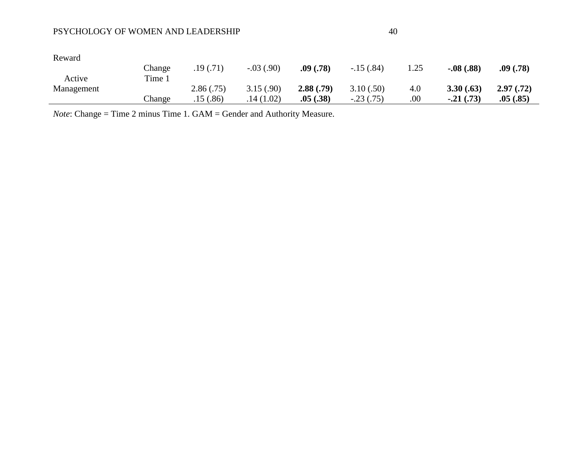# PSYCHOLOGY OF WOMEN AND LEADERSHIP 40

| Reward     |        |           |             |           |             |      |               |            |
|------------|--------|-----------|-------------|-----------|-------------|------|---------------|------------|
|            | Change | .19(0.71) | $-.03(.90)$ | .09(.78)  | $-15(.84)$  | 1.25 | $-.08(.88)$   | .09(.78)   |
| Active     | Time 1 |           |             |           |             |      |               |            |
| Management |        | 2.86(.75) | 3.15(.90)   | 2.88(.79) | 3.10(.50)   | 4.0  | 3.30(.63)     | 2.97(0.72) |
|            | Change | .15(.86)  | .14(1.02)   | .05(.38)  | $-.23(.75)$ | .00. | $-0.21(0.73)$ | .05(.85)   |

*Note*: Change = Time 2 minus Time 1. GAM = Gender and Authority Measure.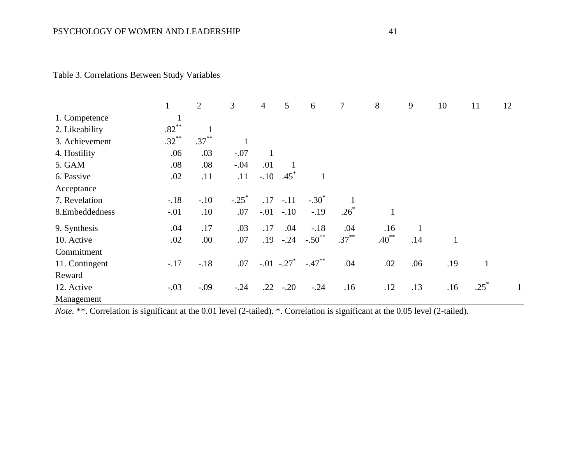|                |          | $\overline{2}$ | 3                   | $\overline{4}$ | 5 <sup>5</sup> | 6            | $\overline{7}$ | 8            | 9            | 10           | 11           | 12 |
|----------------|----------|----------------|---------------------|----------------|----------------|--------------|----------------|--------------|--------------|--------------|--------------|----|
| 1. Competence  |          |                |                     |                |                |              |                |              |              |              |              |    |
| 2. Likeability | $.82***$ |                |                     |                |                |              |                |              |              |              |              |    |
| 3. Achievement | $.32***$ | $.37***$       | $\mathbf{1}$        |                |                |              |                |              |              |              |              |    |
| 4. Hostility   | .06      | .03            | $-.07$              | $\mathbf{1}$   |                |              |                |              |              |              |              |    |
| 5. GAM         | .08      | .08            | $-.04$              | .01            |                |              |                |              |              |              |              |    |
| 6. Passive     | .02      | .11            | .11                 | $-.10$         | $.45^*$        | $\mathbf{1}$ |                |              |              |              |              |    |
| Acceptance     |          |                |                     |                |                |              |                |              |              |              |              |    |
| 7. Revelation  | $-.18$   | $-.10$         | $-.25$ <sup>*</sup> | .17            | $-.11$         | $-.30^*$     |                |              |              |              |              |    |
| 8.Embeddedness | $-.01$   | .10            | .07                 | $-.01$         | $-.10$         | $-.19$       | $.26*$         | $\mathbf{1}$ |              |              |              |    |
| 9. Synthesis   | .04      | .17            | .03                 | .17            | .04            | $-.18$       | .04            | .16          | $\mathbf{1}$ |              |              |    |
| 10. Active     | .02      | .00            | .07                 | .19            | $-.24$         | $-.50$ **    | $.37***$       | $.40^{**}$   | .14          | $\mathbf{1}$ |              |    |
| Commitment     |          |                |                     |                |                |              |                |              |              |              |              |    |
| 11. Contingent | $-.17$   | $-.18$         | .07                 |                | $-.01-.27$     | $-.47***$    | .04            | .02          | .06          | .19          | $\mathbf{1}$ |    |
| Reward         |          |                |                     |                |                |              |                |              |              |              |              |    |
| 12. Active     | $-.03$   | $-.09$         | $-.24$              | .22            | $-.20$         | $-.24$       | .16            | .12          | .13          | .16          | $.25*$       | 1  |
| Management     |          |                |                     |                |                |              |                |              |              |              |              |    |

|  | Table 3. Correlations Between Study Variables |  |  |  |
|--|-----------------------------------------------|--|--|--|
|--|-----------------------------------------------|--|--|--|

*Note.* \*\*. Correlation is significant at the 0.01 level (2-tailed). \*. Correlation is significant at the 0.05 level (2-tailed).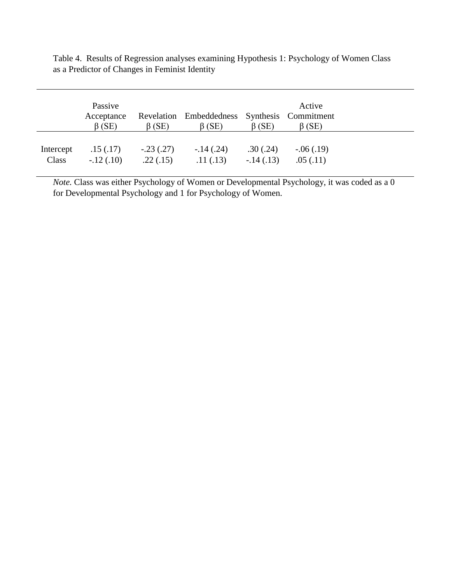|           | Passive<br>Acceptance<br>$\beta$ (SE) | $\beta$ (SE) | Revelation Embeddedness Synthesis Commitment<br>$\beta$ (SE) | $\beta$ (SE) | Active<br>$\beta$ (SE) |
|-----------|---------------------------------------|--------------|--------------------------------------------------------------|--------------|------------------------|
| Intercept | .15(.17)                              | $-.23(.27)$  | $-.14(.24)$                                                  | .30(.24)     | $-0.06(0.19)$          |
| Class     | $-12(0.10)$                           | .22(.15)     | .11(.13)                                                     | $-.14(.13)$  | .05(.11)               |

Table 4. Results of Regression analyses examining Hypothesis 1: Psychology of Women Class as a Predictor of Changes in Feminist Identity

*Note.* Class was either Psychology of Women or Developmental Psychology, it was coded as a 0 for Developmental Psychology and 1 for Psychology of Women.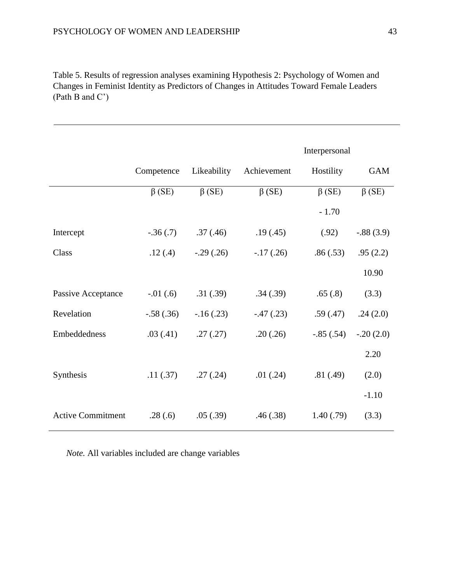Table 5. Results of regression analyses examining Hypothesis 2: Psychology of Women and Changes in Feminist Identity as Predictors of Changes in Attitudes Toward Female Leaders (Path B and C')

|                          |              |              |              | Interpersonal |              |
|--------------------------|--------------|--------------|--------------|---------------|--------------|
|                          | Competence   | Likeability  | Achievement  | Hostility     | <b>GAM</b>   |
|                          | $\beta$ (SE) | $\beta$ (SE) | $\beta$ (SE) | $\beta$ (SE)  | $\beta$ (SE) |
|                          |              |              |              | $-1.70$       |              |
| Intercept                | $-.36(.7)$   | .37(.46)     | .19(0.45)    | (.92)         | $-.88(3.9)$  |
| Class                    | .12(.4)      | $-.29(.26)$  | $-.17(.26)$  | .86(.53)      | .95(2.2)     |
|                          |              |              |              |               | 10.90        |
| Passive Acceptance       | $-0.01(6)$   | .31(.39)     | .34(.39)     | .65(.8)       | (3.3)        |
| Revelation               | $-.58(.36)$  | $-16(0.23)$  | $-.47(.23)$  | .59(.47)      | .24(2.0)     |
| Embeddedness             | .03(.41)     | .27(.27)     | .20(.26)     | $-.85(.54)$   | $-.20(2.0)$  |
|                          |              |              |              |               | 2.20         |
| Synthesis                | .11(.37)     | .27(.24)     | .01(.24)     | .81(.49)      | (2.0)        |
|                          |              |              |              |               | $-1.10$      |
| <b>Active Commitment</b> | .28(.6)      | .05(.39)     | .46(.38)     | 1.40(0.79)    | (3.3)        |
|                          |              |              |              |               |              |

*Note.* All variables included are change variables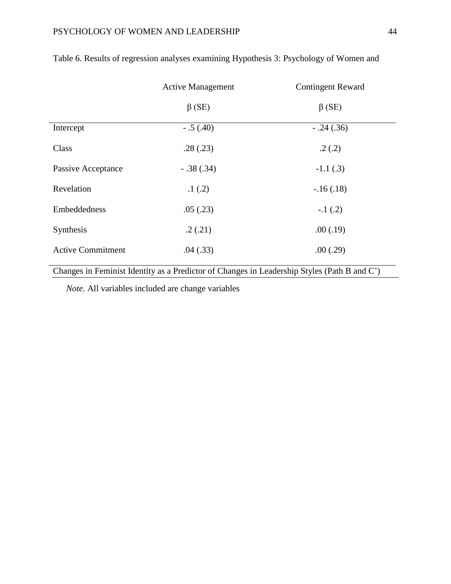|                          | <b>Active Management</b> | <b>Contingent Reward</b> |
|--------------------------|--------------------------|--------------------------|
|                          | $\beta$ (SE)             | $\beta$ (SE)             |
| Intercept                | $-.5(.40)$               | $-.24(.36)$              |
| Class                    | .28(.23)                 | .2(.2)                   |
| Passive Acceptance       | $-.38(.34)$              | $-1.1(3)$                |
| Revelation               | .1(.2)                   | $-.16(.18)$              |
| Embeddedness             | .05(.23)                 | $-.1(.2)$                |
| Synthesis                | .2(.21)                  | .00(.19)                 |
| <b>Active Commitment</b> | .04(.33)                 | .00(.29)                 |

# Table 6. Results of regression analyses examining Hypothesis 3: Psychology of Women and

Changes in Feminist Identity as a Predictor of Changes in Leadership Styles (Path B and C')

*Note.* All variables included are change variables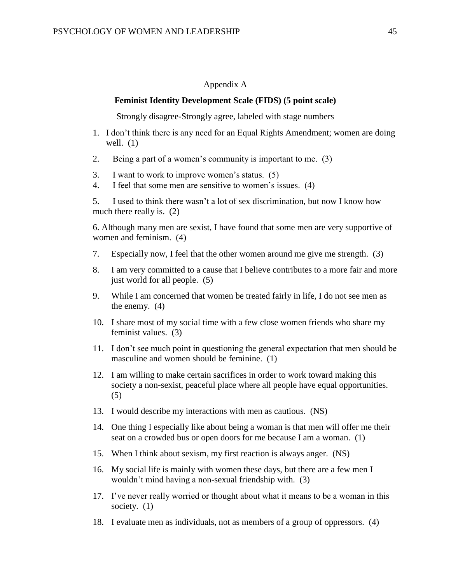## Appendix A

#### **Feminist Identity Development Scale (FIDS) (5 point scale)**

Strongly disagree-Strongly agree, labeled with stage numbers

- 1. I don't think there is any need for an Equal Rights Amendment; women are doing well.  $(1)$
- 2. Being a part of a women's community is important to me. (3)
- 3. I want to work to improve women's status. (5)
- 4. I feel that some men are sensitive to women's issues. (4)

5. I used to think there wasn't a lot of sex discrimination, but now I know how much there really is. (2)

6. Although many men are sexist, I have found that some men are very supportive of women and feminism. (4)

- 7. Especially now, I feel that the other women around me give me strength. (3)
- 8. I am very committed to a cause that I believe contributes to a more fair and more just world for all people. (5)
- 9. While I am concerned that women be treated fairly in life, I do not see men as the enemy. (4)
- 10. I share most of my social time with a few close women friends who share my feminist values. (3)
- 11. I don't see much point in questioning the general expectation that men should be masculine and women should be feminine. (1)
- 12. I am willing to make certain sacrifices in order to work toward making this society a non-sexist, peaceful place where all people have equal opportunities. (5)
- 13. I would describe my interactions with men as cautious. (NS)
- 14. One thing I especially like about being a woman is that men will offer me their seat on a crowded bus or open doors for me because I am a woman. (1)
- 15. When I think about sexism, my first reaction is always anger. (NS)
- 16. My social life is mainly with women these days, but there are a few men I wouldn't mind having a non-sexual friendship with. (3)
- 17. I've never really worried or thought about what it means to be a woman in this society. (1)
- 18. I evaluate men as individuals, not as members of a group of oppressors. (4)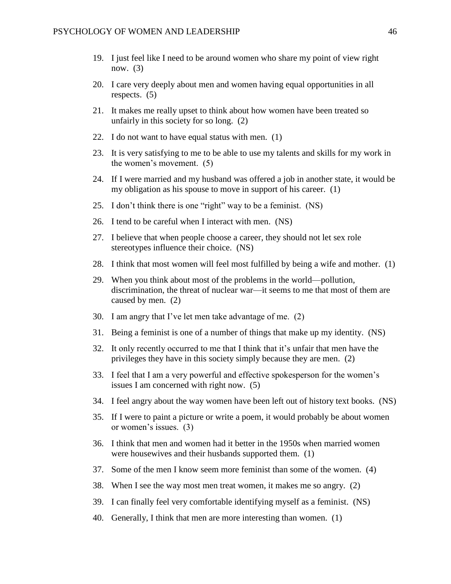- 19. I just feel like I need to be around women who share my point of view right now. (3)
- 20. I care very deeply about men and women having equal opportunities in all respects. (5)
- 21. It makes me really upset to think about how women have been treated so unfairly in this society for so long. (2)
- 22. I do not want to have equal status with men. (1)
- 23. It is very satisfying to me to be able to use my talents and skills for my work in the women's movement. (5)
- 24. If I were married and my husband was offered a job in another state, it would be my obligation as his spouse to move in support of his career. (1)
- 25. I don't think there is one "right" way to be a feminist. (NS)
- 26. I tend to be careful when I interact with men. (NS)
- 27. I believe that when people choose a career, they should not let sex role stereotypes influence their choice. (NS)
- 28. I think that most women will feel most fulfilled by being a wife and mother. (1)
- 29. When you think about most of the problems in the world—pollution, discrimination, the threat of nuclear war—it seems to me that most of them are caused by men. (2)
- 30. I am angry that I've let men take advantage of me. (2)
- 31. Being a feminist is one of a number of things that make up my identity. (NS)
- 32. It only recently occurred to me that I think that it's unfair that men have the privileges they have in this society simply because they are men. (2)
- 33. I feel that I am a very powerful and effective spokesperson for the women's issues I am concerned with right now. (5)
- 34. I feel angry about the way women have been left out of history text books. (NS)
- 35. If I were to paint a picture or write a poem, it would probably be about women or women's issues. (3)
- 36. I think that men and women had it better in the 1950s when married women were housewives and their husbands supported them. (1)
- 37. Some of the men I know seem more feminist than some of the women. (4)
- 38. When I see the way most men treat women, it makes me so angry. (2)
- 39. I can finally feel very comfortable identifying myself as a feminist. (NS)
- 40. Generally, I think that men are more interesting than women. (1)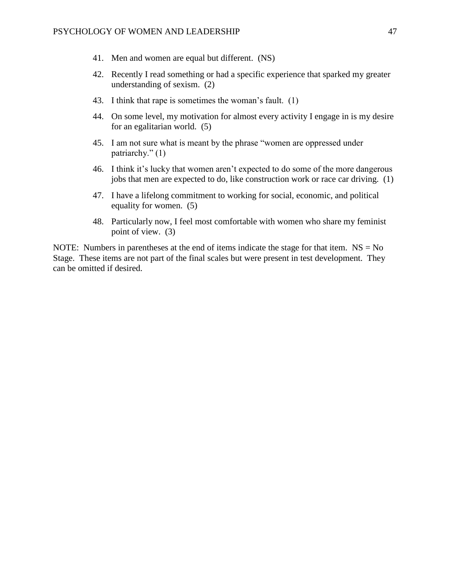- 41. Men and women are equal but different. (NS)
- 42. Recently I read something or had a specific experience that sparked my greater understanding of sexism. (2)
- 43. I think that rape is sometimes the woman's fault. (1)
- 44. On some level, my motivation for almost every activity I engage in is my desire for an egalitarian world. (5)
- 45. I am not sure what is meant by the phrase "women are oppressed under patriarchy." (1)
- 46. I think it's lucky that women aren't expected to do some of the more dangerous jobs that men are expected to do, like construction work or race car driving. (1)
- 47. I have a lifelong commitment to working for social, economic, and political equality for women. (5)
- 48. Particularly now, I feel most comfortable with women who share my feminist point of view. (3)

NOTE: Numbers in parentheses at the end of items indicate the stage for that item.  $NS = No$ Stage. These items are not part of the final scales but were present in test development. They can be omitted if desired.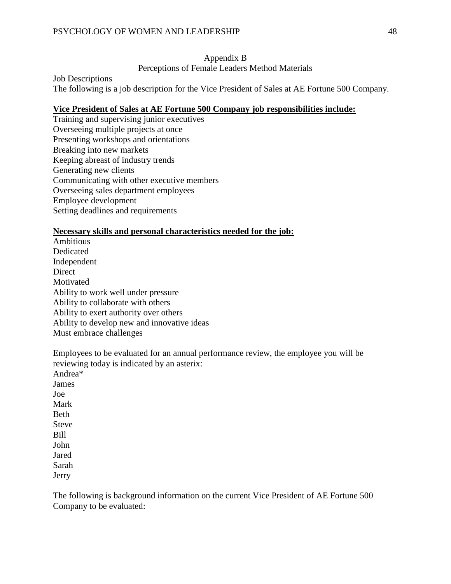## Appendix B

Perceptions of Female Leaders Method Materials

Job Descriptions

The following is a job description for the Vice President of Sales at AE Fortune 500 Company.

## **Vice President of Sales at AE Fortune 500 Company job responsibilities include:**

Training and supervising junior executives Overseeing multiple projects at once Presenting workshops and orientations Breaking into new markets Keeping abreast of industry trends Generating new clients Communicating with other executive members Overseeing sales department employees Employee development Setting deadlines and requirements

## **Necessary skills and personal characteristics needed for the job:**

Ambitious Dedicated Independent Direct **Motivated** Ability to work well under pressure Ability to collaborate with others Ability to exert authority over others Ability to develop new and innovative ideas Must embrace challenges

Employees to be evaluated for an annual performance review, the employee you will be reviewing today is indicated by an asterix: Andrea\* James Joe Mark Beth Steve Bill John Jared Sarah

Jerry

The following is background information on the current Vice President of AE Fortune 500 Company to be evaluated: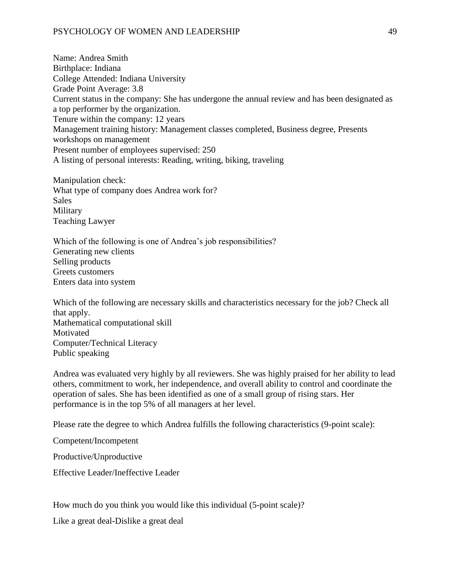## PSYCHOLOGY OF WOMEN AND LEADERSHIP 49

Name: Andrea Smith Birthplace: Indiana College Attended: Indiana University Grade Point Average: 3.8 Current status in the company: She has undergone the annual review and has been designated as a top performer by the organization. Tenure within the company: 12 years Management training history: Management classes completed, Business degree, Presents workshops on management Present number of employees supervised: 250 A listing of personal interests: Reading, writing, biking, traveling

Manipulation check: What type of company does Andrea work for? Sales Military Teaching Lawyer

Which of the following is one of Andrea's job responsibilities? Generating new clients Selling products Greets customers Enters data into system

Which of the following are necessary skills and characteristics necessary for the job? Check all that apply. Mathematical computational skill Motivated Computer/Technical Literacy Public speaking

Andrea was evaluated very highly by all reviewers. She was highly praised for her ability to lead others, commitment to work, her independence, and overall ability to control and coordinate the operation of sales. She has been identified as one of a small group of rising stars. Her performance is in the top 5% of all managers at her level.

Please rate the degree to which Andrea fulfills the following characteristics (9-point scale):

Competent/Incompetent

Productive/Unproductive

Effective Leader/Ineffective Leader

How much do you think you would like this individual (5-point scale)?

Like a great deal-Dislike a great deal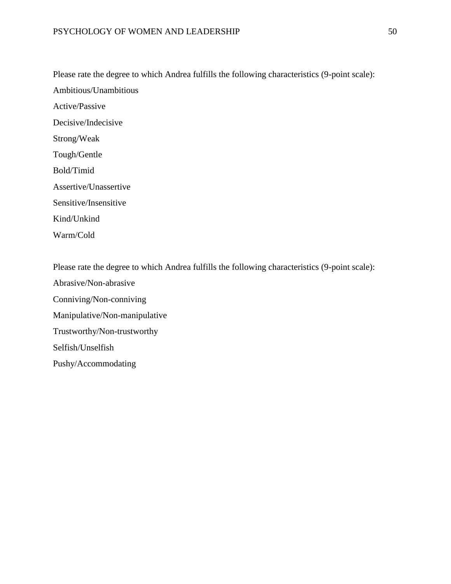Please rate the degree to which Andrea fulfills the following characteristics (9-point scale): Ambitious/Unambitious Active/Passive Decisive/Indecisive Strong/Weak Tough/Gentle Bold/Timid Assertive/Unassertive Sensitive/Insensitive Kind/Unkind Warm/Cold

Please rate the degree to which Andrea fulfills the following characteristics (9-point scale):

Abrasive/Non-abrasive Conniving/Non-conniving Manipulative/Non-manipulative Trustworthy/Non-trustworthy Selfish/Unselfish Pushy/Accommodating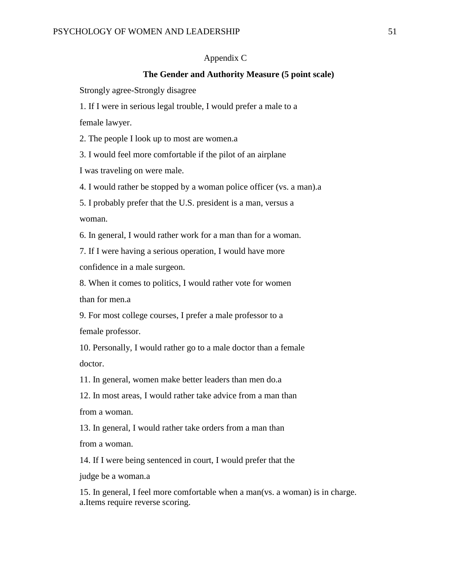### Appendix C

## **The Gender and Authority Measure (5 point scale)**

Strongly agree-Strongly disagree

1. If I were in serious legal trouble, I would prefer a male to a

female lawyer.

2. The people I look up to most are women.a

3. I would feel more comfortable if the pilot of an airplane

I was traveling on were male.

4. I would rather be stopped by a woman police officer (vs. a man).a

5. I probably prefer that the U.S. president is a man, versus a woman.

6. In general, I would rather work for a man than for a woman.

7. If I were having a serious operation, I would have more confidence in a male surgeon.

8. When it comes to politics, I would rather vote for women than for men.a

9. For most college courses, I prefer a male professor to a female professor.

10. Personally, I would rather go to a male doctor than a female doctor.

11. In general, women make better leaders than men do.a

12. In most areas, I would rather take advice from a man than from a woman.

13. In general, I would rather take orders from a man than

from a woman.

14. If I were being sentenced in court, I would prefer that the

judge be a woman.a

15. In general, I feel more comfortable when a man(vs. a woman) is in charge. a.Items require reverse scoring.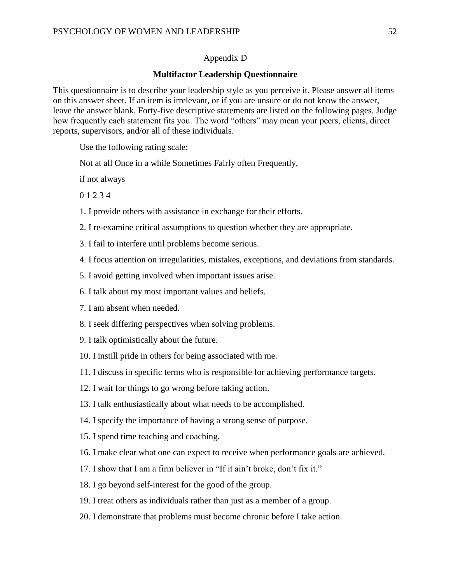## Appendix D

## **Multifactor Leadership Questionnaire**

This questionnaire is to describe your leadership style as you perceive it. Please answer all items on this answer sheet. If an item is irrelevant, or if you are unsure or do not know the answer, leave the answer blank. Forty-five descriptive statements are listed on the following pages. Judge how frequently each statement fits you. The word "others" may mean your peers, clients, direct reports, supervisors, and/or all of these individuals.

Use the following rating scale:

Not at all Once in a while Sometimes Fairly often Frequently,

if not always

0 1 2 3 4

- 1. I provide others with assistance in exchange for their efforts.
- 2. I re-examine critical assumptions to question whether they are appropriate.
- 3. I fail to interfere until problems become serious.
- 4. I focus attention on irregularities, mistakes, exceptions, and deviations from standards.
- 5. I avoid getting involved when important issues arise.
- 6. I talk about my most important values and beliefs.
- 7. I am absent when needed.
- 8. I seek differing perspectives when solving problems.
- 9. I talk optimistically about the future.
- 10. I instill pride in others for being associated with me.
- 11. I discuss in specific terms who is responsible for achieving performance targets.
- 12. I wait for things to go wrong before taking action.
- 13. I talk enthusiastically about what needs to be accomplished.
- 14. I specify the importance of having a strong sense of purpose.
- 15. I spend time teaching and coaching.
- 16. I make clear what one can expect to receive when performance goals are achieved.
- 17. I show that I am a firm believer in "If it ain't broke, don't fix it."
- 18. I go beyond self-interest for the good of the group.
- 19. I treat others as individuals rather than just as a member of a group.
- 20. I demonstrate that problems must become chronic before I take action.